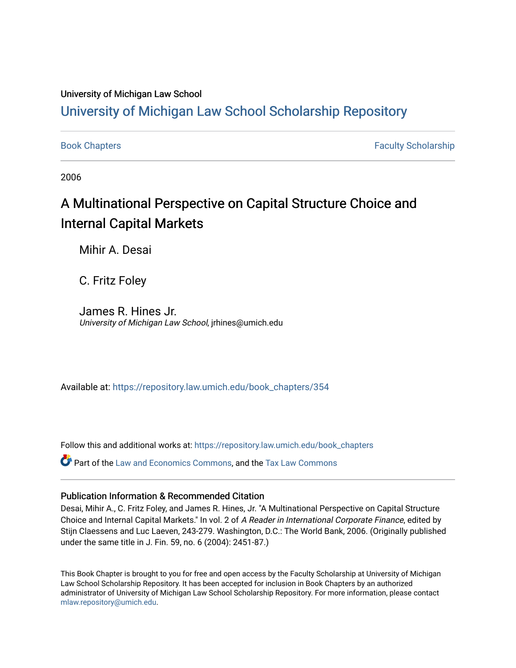### University of Michigan Law School

# [University of Michigan Law School Scholarship Repository](https://repository.law.umich.edu/)

[Book Chapters](https://repository.law.umich.edu/book_chapters) Faculty Scholarship

2006

# A Multinational Perspective on Capital Structure Choice and Internal Capital Markets

Mihir A. Desai

C. Fritz Foley

James R. Hines Jr. University of Michigan Law School, jrhines@umich.edu

Available at: [https://repository.law.umich.edu/book\\_chapters/354](https://repository.law.umich.edu/book_chapters/354) 

Follow this and additional works at: [https://repository.law.umich.edu/book\\_chapters](https://repository.law.umich.edu/book_chapters?utm_source=repository.law.umich.edu%2Fbook_chapters%2F354&utm_medium=PDF&utm_campaign=PDFCoverPages)

Part of the [Law and Economics Commons](https://network.bepress.com/hgg/discipline/612?utm_source=repository.law.umich.edu%2Fbook_chapters%2F354&utm_medium=PDF&utm_campaign=PDFCoverPages), and the [Tax Law Commons](https://network.bepress.com/hgg/discipline/898?utm_source=repository.law.umich.edu%2Fbook_chapters%2F354&utm_medium=PDF&utm_campaign=PDFCoverPages)

### Publication Information & Recommended Citation

Desai, Mihir A., C. Fritz Foley, and James R. Hines, Jr. "A Multinational Perspective on Capital Structure Choice and Internal Capital Markets." In vol. 2 of A Reader in International Corporate Finance, edited by Stijn Claessens and Luc Laeven, 243-279. Washington, D.C.: The World Bank, 2006. (Originally published under the same title in J. Fin. 59, no. 6 (2004): 2451-87.)

This Book Chapter is brought to you for free and open access by the Faculty Scholarship at University of Michigan Law School Scholarship Repository. It has been accepted for inclusion in Book Chapters by an authorized administrator of University of Michigan Law School Scholarship Repository. For more information, please contact [mlaw.repository@umich.edu.](mailto:mlaw.repository@umich.edu)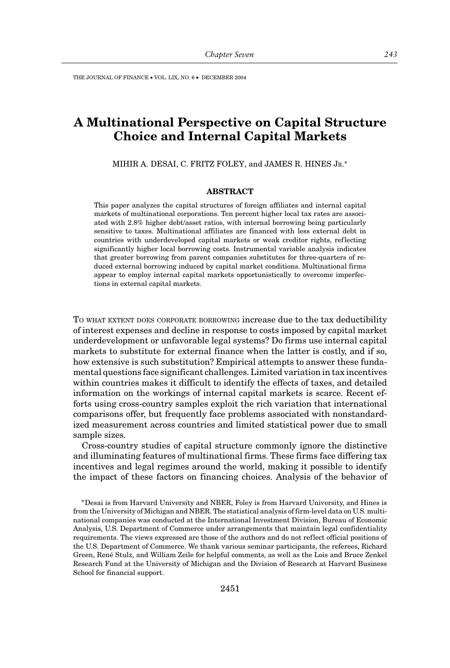THE JOURNAL OF FINANCE • VOL. LIX, NO. 6 • DECEMBER 2004

## **A Multinational Perspective on Capital Structure Choice and Internal Capital Markets**

MIHIR A. DESAI, C. FRITZ FOLEY, and JAMES R. HINES JR. ∗

### **ABSTRACT**

This paper analyzes the capital structures of foreign affiliates and internal capital markets of multinational corporations. Ten percent higher local tax rates are associated with 2.8% higher debt/asset ratios, with internal borrowing being particularly sensitive to taxes. Multinational affiliates are financed with less external debt in countries with underdeveloped capital markets or weak creditor rights, reflecting significantly higher local borrowing costs. Instrumental variable analysis indicates that greater borrowing from parent companies substitutes for three-quarters of reduced external borrowing induced by capital market conditions. Multinational firms appear to employ internal capital markets opportunistically to overcome imperfections in external capital markets.

TO WHAT EXTENT DOES CORPORATE BORROWING increase due to the tax deductibility of interest expenses and decline in response to costs imposed by capital market underdevelopment or unfavorable legal systems? Do firms use internal capital markets to substitute for external finance when the latter is costly, and if so, how extensive is such substitution? Empirical attempts to answer these fundamental questions face significant challenges. Limited variation in tax incentives within countries makes it difficult to identify the effects of taxes, and detailed information on the workings of internal capital markets is scarce. Recent efforts using cross-country samples exploit the rich variation that international comparisons offer, but frequently face problems associated with nonstandardized measurement across countries and limited statistical power due to small sample sizes.

Cross-country studies of capital structure commonly ignore the distinctive and illuminating features of multinational firms. These firms face differing tax incentives and legal regimes around the world, making it possible to identify the impact of these factors on financing choices. Analysis of the behavior of

∗Desai is from Harvard University and NBER, Foley is from Harvard University, and Hines is from the University of Michigan and NBER. The statistical analysis of firm-level data on U.S. multinational companies was conducted at the International Investment Division, Bureau of Economic Analysis, U.S. Department of Commerce under arrangements that maintain legal confidentiality requirements. The views expressed are those of the authors and do not ref lect official positions of the U.S. Department of Commerce. We thank various seminar participants, the referees, Richard Green, René Stulz, and William Zeile for helpful comments, as well as the Lois and Bruce Zenkel Research Fund at the University of Michigan and the Division of Research at Harvard Business School for financial support.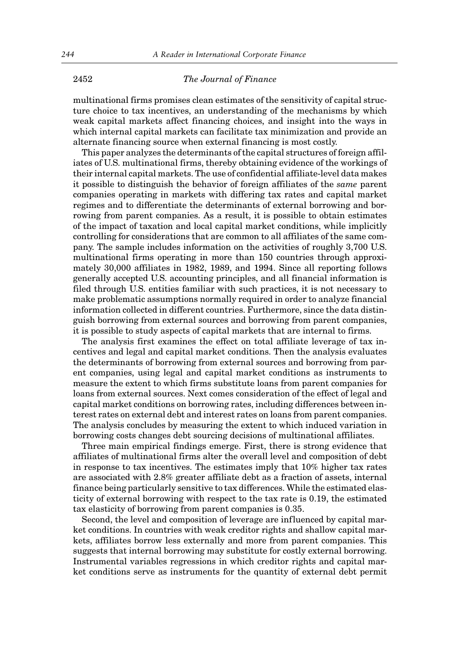multinational firms promises clean estimates of the sensitivity of capital structure choice to tax incentives, an understanding of the mechanisms by which weak capital markets affect financing choices, and insight into the ways in which internal capital markets can facilitate tax minimization and provide an alternate financing source when external financing is most costly.

This paper analyzes the determinants of the capital structures of foreign affiliates of U.S. multinational firms, thereby obtaining evidence of the workings of their internal capital markets. The use of confidential affiliate-level data makes it possible to distinguish the behavior of foreign affiliates of the *same* parent companies operating in markets with differing tax rates and capital market regimes and to differentiate the determinants of external borrowing and borrowing from parent companies. As a result, it is possible to obtain estimates of the impact of taxation and local capital market conditions, while implicitly controlling for considerations that are common to all affiliates of the same company. The sample includes information on the activities of roughly 3,700 U.S. multinational firms operating in more than 150 countries through approximately 30,000 affiliates in 1982, 1989, and 1994. Since all reporting follows generally accepted U.S. accounting principles, and all financial information is filed through U.S. entities familiar with such practices, it is not necessary to make problematic assumptions normally required in order to analyze financial information collected in different countries. Furthermore, since the data distinguish borrowing from external sources and borrowing from parent companies, it is possible to study aspects of capital markets that are internal to firms.

The analysis first examines the effect on total affiliate leverage of tax incentives and legal and capital market conditions. Then the analysis evaluates the determinants of borrowing from external sources and borrowing from parent companies, using legal and capital market conditions as instruments to measure the extent to which firms substitute loans from parent companies for loans from external sources. Next comes consideration of the effect of legal and capital market conditions on borrowing rates, including differences between interest rates on external debt and interest rates on loans from parent companies. The analysis concludes by measuring the extent to which induced variation in borrowing costs changes debt sourcing decisions of multinational affiliates.

Three main empirical findings emerge. First, there is strong evidence that affiliates of multinational firms alter the overall level and composition of debt in response to tax incentives. The estimates imply that 10% higher tax rates are associated with 2.8% greater affiliate debt as a fraction of assets, internal finance being particularly sensitive to tax differences. While the estimated elasticity of external borrowing with respect to the tax rate is 0.19, the estimated tax elasticity of borrowing from parent companies is 0.35.

Second, the level and composition of leverage are influenced by capital market conditions. In countries with weak creditor rights and shallow capital markets, affiliates borrow less externally and more from parent companies. This suggests that internal borrowing may substitute for costly external borrowing. Instrumental variables regressions in which creditor rights and capital market conditions serve as instruments for the quantity of external debt permit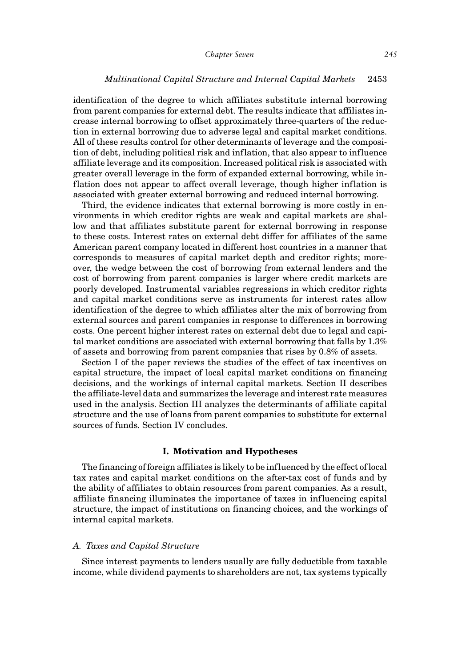identification of the degree to which affiliates substitute internal borrowing from parent companies for external debt. The results indicate that affiliates increase internal borrowing to offset approximately three-quarters of the reduction in external borrowing due to adverse legal and capital market conditions. All of these results control for other determinants of leverage and the composition of debt, including political risk and inf lation, that also appear to inf luence affiliate leverage and its composition. Increased political risk is associated with greater overall leverage in the form of expanded external borrowing, while inflation does not appear to affect overall leverage, though higher inflation is associated with greater external borrowing and reduced internal borrowing.

Third, the evidence indicates that external borrowing is more costly in environments in which creditor rights are weak and capital markets are shallow and that affiliates substitute parent for external borrowing in response to these costs. Interest rates on external debt differ for affiliates of the same American parent company located in different host countries in a manner that corresponds to measures of capital market depth and creditor rights; moreover, the wedge between the cost of borrowing from external lenders and the cost of borrowing from parent companies is larger where credit markets are poorly developed. Instrumental variables regressions in which creditor rights and capital market conditions serve as instruments for interest rates allow identification of the degree to which affiliates alter the mix of borrowing from external sources and parent companies in response to differences in borrowing costs. One percent higher interest rates on external debt due to legal and capital market conditions are associated with external borrowing that falls by 1.3% of assets and borrowing from parent companies that rises by 0.8% of assets.

Section I of the paper reviews the studies of the effect of tax incentives on capital structure, the impact of local capital market conditions on financing decisions, and the workings of internal capital markets. Section II describes the affiliate-level data and summarizes the leverage and interest rate measures used in the analysis. Section III analyzes the determinants of affiliate capital structure and the use of loans from parent companies to substitute for external sources of funds. Section IV concludes.

### **I. Motivation and Hypotheses**

The financing of foreign affiliates is likely to be inf luenced by the effect of local tax rates and capital market conditions on the after-tax cost of funds and by the ability of affiliates to obtain resources from parent companies. As a result, affiliate financing illuminates the importance of taxes in influencing capital structure, the impact of institutions on financing choices, and the workings of internal capital markets.

### *A. Taxes and Capital Structure*

Since interest payments to lenders usually are fully deductible from taxable income, while dividend payments to shareholders are not, tax systems typically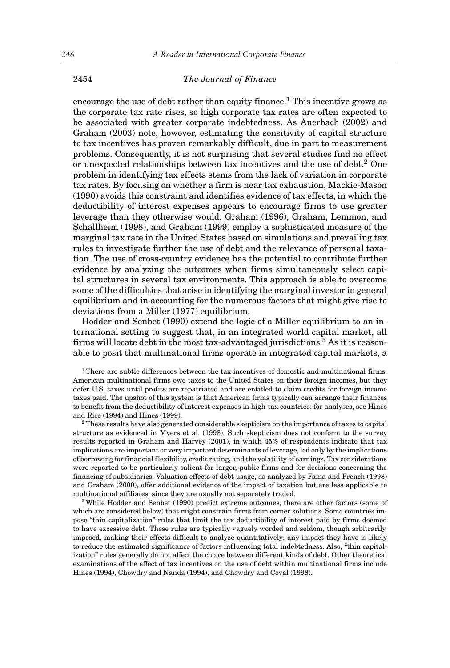encourage the use of debt rather than equity finance.<sup>1</sup> This incentive grows as the corporate tax rate rises, so high corporate tax rates are often expected to be associated with greater corporate indebtedness. As Auerbach (2002) and Graham (2003) note, however, estimating the sensitivity of capital structure to tax incentives has proven remarkably difficult, due in part to measurement problems. Consequently, it is not surprising that several studies find no effect or unexpected relationships between tax incentives and the use of debt.<sup>2</sup> One problem in identifying tax effects stems from the lack of variation in corporate tax rates. By focusing on whether a firm is near tax exhaustion, Mackie-Mason (1990) avoids this constraint and identifies evidence of tax effects, in which the deductibility of interest expenses appears to encourage firms to use greater leverage than they otherwise would. Graham (1996), Graham, Lemmon, and Schallheim (1998), and Graham (1999) employ a sophisticated measure of the marginal tax rate in the United States based on simulations and prevailing tax rules to investigate further the use of debt and the relevance of personal taxation. The use of cross-country evidence has the potential to contribute further evidence by analyzing the outcomes when firms simultaneously select capital structures in several tax environments. This approach is able to overcome some of the difficulties that arise in identifying the marginal investor in general equilibrium and in accounting for the numerous factors that might give rise to deviations from a Miller (1977) equilibrium.

Hodder and Senbet (1990) extend the logic of a Miller equilibrium to an international setting to suggest that, in an integrated world capital market, all firms will locate debt in the most tax-advantaged jurisdictions.<sup>3</sup> As it is reasonable to posit that multinational firms operate in integrated capital markets, a

 $1$ <sup>1</sup> There are subtle differences between the tax incentives of domestic and multinational firms. American multinational firms owe taxes to the United States on their foreign incomes, but they defer U.S. taxes until profits are repatriated and are entitled to claim credits for foreign income taxes paid. The upshot of this system is that American firms typically can arrange their finances to benefit from the deductibility of interest expenses in high-tax countries; for analyses, see Hines and Rice (1994) and Hines (1999).

<sup>2</sup> These results have also generated considerable skepticism on the importance of taxes to capital structure as evidenced in Myers et al. (1998). Such skepticism does not conform to the survey results reported in Graham and Harvey (2001), in which 45% of respondents indicate that tax implications are important or very important determinants of leverage, led only by the implications of borrowing for financial f lexibility, credit rating, and the volatility of earnings. Tax considerations were reported to be particularly salient for larger, public firms and for decisions concerning the financing of subsidiaries. Valuation effects of debt usage, as analyzed by Fama and French (1998) and Graham (2000), offer additional evidence of the impact of taxation but are less applicable to multinational affiliates, since they are usually not separately traded.

<sup>3</sup> While Hodder and Senbet (1990) predict extreme outcomes, there are other factors (some of which are considered below) that might constrain firms from corner solutions. Some countries impose "thin capitalization" rules that limit the tax deductibility of interest paid by firms deemed to have excessive debt. These rules are typically vaguely worded and seldom, though arbitrarily, imposed, making their effects difficult to analyze quantitatively; any impact they have is likely to reduce the estimated significance of factors influencing total indebtedness. Also, "thin capitalization" rules generally do not affect the choice between different kinds of debt. Other theoretical examinations of the effect of tax incentives on the use of debt within multinational firms include Hines (1994), Chowdry and Nanda (1994), and Chowdry and Coval (1998).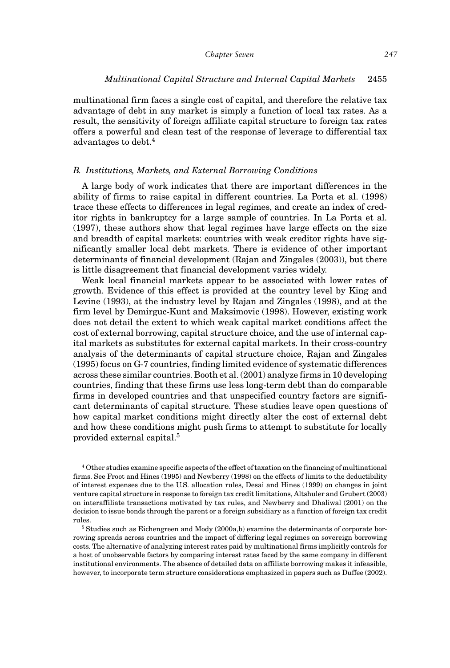multinational firm faces a single cost of capital, and therefore the relative tax advantage of debt in any market is simply a function of local tax rates. As a result, the sensitivity of foreign affiliate capital structure to foreign tax rates offers a powerful and clean test of the response of leverage to differential tax advantages to debt.<sup>4</sup>

### *B. Institutions, Markets, and External Borrowing Conditions*

A large body of work indicates that there are important differences in the ability of firms to raise capital in different countries. La Porta et al. (1998) trace these effects to differences in legal regimes, and create an index of creditor rights in bankruptcy for a large sample of countries. In La Porta et al. (1997), these authors show that legal regimes have large effects on the size and breadth of capital markets: countries with weak creditor rights have significantly smaller local debt markets. There is evidence of other important determinants of financial development (Rajan and Zingales (2003)), but there is little disagreement that financial development varies widely.

Weak local financial markets appear to be associated with lower rates of growth. Evidence of this effect is provided at the country level by King and Levine (1993), at the industry level by Rajan and Zingales (1998), and at the firm level by Demirguc-Kunt and Maksimovic (1998). However, existing work does not detail the extent to which weak capital market conditions affect the cost of external borrowing, capital structure choice, and the use of internal capital markets as substitutes for external capital markets. In their cross-country analysis of the determinants of capital structure choice, Rajan and Zingales (1995) focus on G-7 countries, finding limited evidence of systematic differences across these similar countries. Booth et al. (2001) analyze firms in 10 developing countries, finding that these firms use less long-term debt than do comparable firms in developed countries and that unspecified country factors are significant determinants of capital structure. These studies leave open questions of how capital market conditions might directly alter the cost of external debt and how these conditions might push firms to attempt to substitute for locally provided external capital.<sup>5</sup>

<sup>4</sup> Other studies examine specific aspects of the effect of taxation on the financing of multinational firms. See Froot and Hines (1995) and Newberry (1998) on the effects of limits to the deductibility of interest expenses due to the U.S. allocation rules, Desai and Hines (1999) on changes in joint venture capital structure in response to foreign tax credit limitations, Altshuler and Grubert (2003) on interaffiliate transactions motivated by tax rules, and Newberry and Dhaliwal (2001) on the decision to issue bonds through the parent or a foreign subsidiary as a function of foreign tax credit rules.

<sup>5</sup> Studies such as Eichengreen and Mody (2000a,b) examine the determinants of corporate borrowing spreads across countries and the impact of differing legal regimes on sovereign borrowing costs. The alternative of analyzing interest rates paid by multinational firms implicitly controls for a host of unobservable factors by comparing interest rates faced by the same company in different institutional environments. The absence of detailed data on affiliate borrowing makes it infeasible, however, to incorporate term structure considerations emphasized in papers such as Duffee (2002).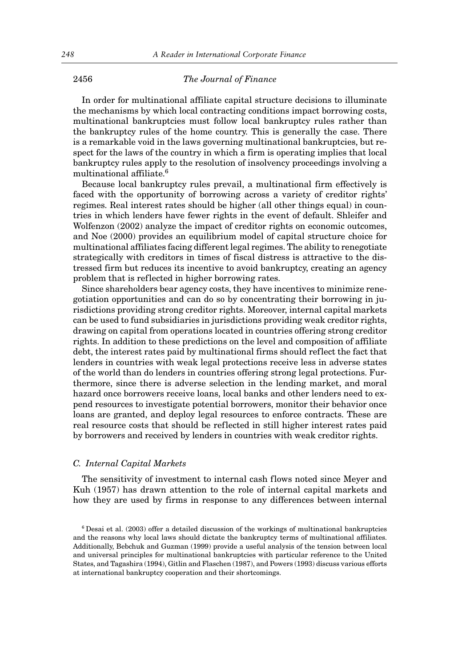In order for multinational affiliate capital structure decisions to illuminate the mechanisms by which local contracting conditions impact borrowing costs, multinational bankruptcies must follow local bankruptcy rules rather than the bankruptcy rules of the home country. This is generally the case. There is a remarkable void in the laws governing multinational bankruptcies, but respect for the laws of the country in which a firm is operating implies that local bankruptcy rules apply to the resolution of insolvency proceedings involving a multinational affiliate.<sup>6</sup>

Because local bankruptcy rules prevail, a multinational firm effectively is faced with the opportunity of borrowing across a variety of creditor rights' regimes. Real interest rates should be higher (all other things equal) in countries in which lenders have fewer rights in the event of default. Shleifer and Wolfenzon (2002) analyze the impact of creditor rights on economic outcomes, and Noe (2000) provides an equilibrium model of capital structure choice for multinational affiliates facing different legal regimes. The ability to renegotiate strategically with creditors in times of fiscal distress is attractive to the distressed firm but reduces its incentive to avoid bankruptcy, creating an agency problem that is reflected in higher borrowing rates.

Since shareholders bear agency costs, they have incentives to minimize renegotiation opportunities and can do so by concentrating their borrowing in jurisdictions providing strong creditor rights. Moreover, internal capital markets can be used to fund subsidiaries in jurisdictions providing weak creditor rights, drawing on capital from operations located in countries offering strong creditor rights. In addition to these predictions on the level and composition of affiliate debt, the interest rates paid by multinational firms should reflect the fact that lenders in countries with weak legal protections receive less in adverse states of the world than do lenders in countries offering strong legal protections. Furthermore, since there is adverse selection in the lending market, and moral hazard once borrowers receive loans, local banks and other lenders need to expend resources to investigate potential borrowers, monitor their behavior once loans are granted, and deploy legal resources to enforce contracts. These are real resource costs that should be reflected in still higher interest rates paid by borrowers and received by lenders in countries with weak creditor rights.

### *C. Internal Capital Markets*

The sensitivity of investment to internal cash flows noted since Meyer and Kuh (1957) has drawn attention to the role of internal capital markets and how they are used by firms in response to any differences between internal

 $6$  Desai et al. (2003) offer a detailed discussion of the workings of multinational bankruptcies and the reasons why local laws should dictate the bankruptcy terms of multinational affiliates. Additionally, Bebchuk and Guzman (1999) provide a useful analysis of the tension between local and universal principles for multinational bankruptcies with particular reference to the United States, and Tagashira (1994), Gitlin and Flaschen (1987), and Powers (1993) discuss various efforts at international bankruptcy cooperation and their shortcomings.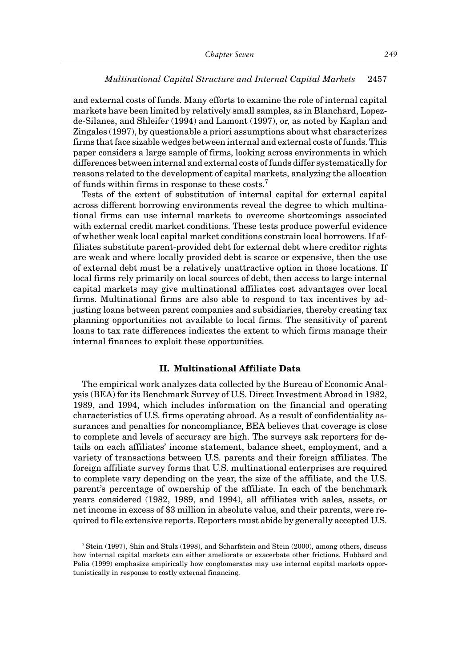and external costs of funds. Many efforts to examine the role of internal capital markets have been limited by relatively small samples, as in Blanchard, Lopezde-Silanes, and Shleifer (1994) and Lamont (1997), or, as noted by Kaplan and Zingales (1997), by questionable a priori assumptions about what characterizes firms that face sizable wedges between internal and external costs of funds. This paper considers a large sample of firms, looking across environments in which differences between internal and external costs of funds differ systematically for reasons related to the development of capital markets, analyzing the allocation of funds within firms in response to these costs.<sup>7</sup>

Tests of the extent of substitution of internal capital for external capital across different borrowing environments reveal the degree to which multinational firms can use internal markets to overcome shortcomings associated with external credit market conditions. These tests produce powerful evidence of whether weak local capital market conditions constrain local borrowers. If affiliates substitute parent-provided debt for external debt where creditor rights are weak and where locally provided debt is scarce or expensive, then the use of external debt must be a relatively unattractive option in those locations. If local firms rely primarily on local sources of debt, then access to large internal capital markets may give multinational affiliates cost advantages over local firms. Multinational firms are also able to respond to tax incentives by adjusting loans between parent companies and subsidiaries, thereby creating tax planning opportunities not available to local firms. The sensitivity of parent loans to tax rate differences indicates the extent to which firms manage their internal finances to exploit these opportunities.

### **II. Multinational Affiliate Data**

The empirical work analyzes data collected by the Bureau of Economic Analysis (BEA) for its Benchmark Survey of U.S. Direct Investment Abroad in 1982, 1989, and 1994, which includes information on the financial and operating characteristics of U.S. firms operating abroad. As a result of confidentiality assurances and penalties for noncompliance, BEA believes that coverage is close to complete and levels of accuracy are high. The surveys ask reporters for details on each affiliates' income statement, balance sheet, employment, and a variety of transactions between U.S. parents and their foreign affiliates. The foreign affiliate survey forms that U.S. multinational enterprises are required to complete vary depending on the year, the size of the affiliate, and the U.S. parent's percentage of ownership of the affiliate. In each of the benchmark years considered (1982, 1989, and 1994), all affiliates with sales, assets, or net income in excess of \$3 million in absolute value, and their parents, were required to file extensive reports. Reporters must abide by generally accepted U.S.

<sup>7</sup> Stein (1997), Shin and Stulz (1998), and Scharfstein and Stein (2000), among others, discuss how internal capital markets can either ameliorate or exacerbate other frictions. Hubbard and Palia (1999) emphasize empirically how conglomerates may use internal capital markets opportunistically in response to costly external financing.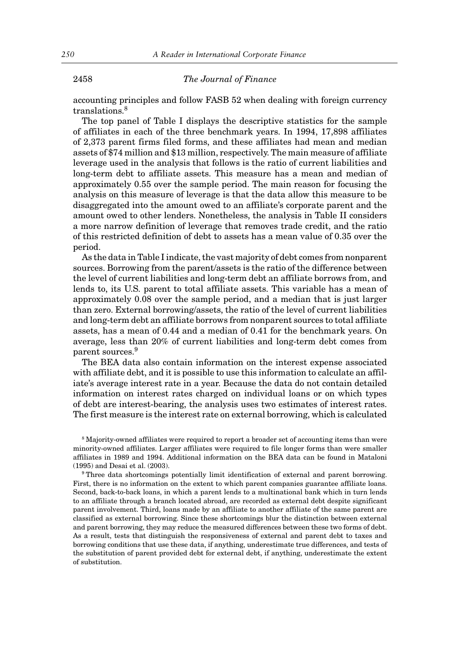accounting principles and follow FASB 52 when dealing with foreign currency translations.<sup>8</sup>

The top panel of Table I displays the descriptive statistics for the sample of affiliates in each of the three benchmark years. In 1994, 17,898 affiliates of 2,373 parent firms filed forms, and these affiliates had mean and median assets of \$74 million and \$13 million, respectively. The main measure of affiliate leverage used in the analysis that follows is the ratio of current liabilities and long-term debt to affiliate assets. This measure has a mean and median of approximately 0.55 over the sample period. The main reason for focusing the analysis on this measure of leverage is that the data allow this measure to be disaggregated into the amount owed to an affiliate's corporate parent and the amount owed to other lenders. Nonetheless, the analysis in Table II considers a more narrow definition of leverage that removes trade credit, and the ratio of this restricted definition of debt to assets has a mean value of 0.35 over the period.

As the data in Table I indicate, the vast majority of debt comes from nonparent sources. Borrowing from the parent/assets is the ratio of the difference between the level of current liabilities and long-term debt an affiliate borrows from, and lends to, its U.S. parent to total affiliate assets. This variable has a mean of approximately 0.08 over the sample period, and a median that is just larger than zero. External borrowing/assets, the ratio of the level of current liabilities and long-term debt an affiliate borrows from nonparent sources to total affiliate assets, has a mean of 0.44 and a median of 0.41 for the benchmark years. On average, less than 20% of current liabilities and long-term debt comes from parent sources.<sup>9</sup>

The BEA data also contain information on the interest expense associated with affiliate debt, and it is possible to use this information to calculate an affiliate's average interest rate in a year. Because the data do not contain detailed information on interest rates charged on individual loans or on which types of debt are interest-bearing, the analysis uses two estimates of interest rates. The first measure is the interest rate on external borrowing, which is calculated

<sup>&</sup>lt;sup>8</sup> Majority-owned affiliates were required to report a broader set of accounting items than were minority-owned affiliates. Larger affiliates were required to file longer forms than were smaller affiliates in 1989 and 1994. Additional information on the BEA data can be found in Mataloni (1995) and Desai et al. (2003).

<sup>9</sup> Three data shortcomings potentially limit identification of external and parent borrowing. First, there is no information on the extent to which parent companies guarantee affiliate loans. Second, back-to-back loans, in which a parent lends to a multinational bank which in turn lends to an affiliate through a branch located abroad, are recorded as external debt despite significant parent involvement. Third, loans made by an affiliate to another affiliate of the same parent are classified as external borrowing. Since these shortcomings blur the distinction between external and parent borrowing, they may reduce the measured differences between these two forms of debt. As a result, tests that distinguish the responsiveness of external and parent debt to taxes and borrowing conditions that use these data, if anything, underestimate true differences, and tests of the substitution of parent provided debt for external debt, if anything, underestimate the extent of substitution.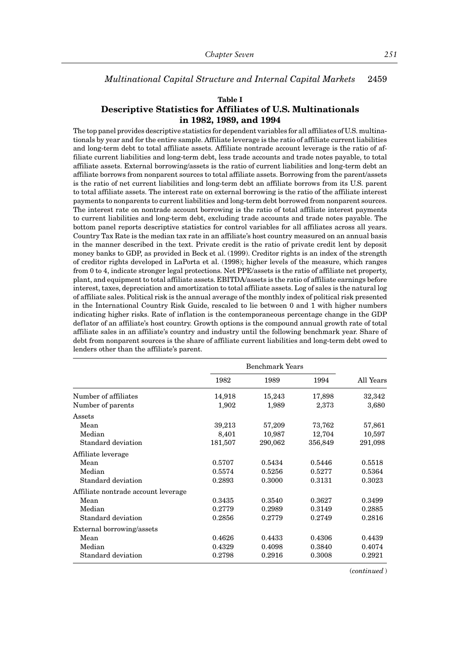### **Table I**

### **Descriptive Statistics for Affiliates of U.S. Multinationals in 1982, 1989, and 1994**

The top panel provides descriptive statistics for dependent variables for all affiliates of U.S. multinationals by year and for the entire sample. Affiliate leverage is the ratio of affiliate current liabilities and long-term debt to total affiliate assets. Affiliate nontrade account leverage is the ratio of affiliate current liabilities and long-term debt, less trade accounts and trade notes payable, to total affiliate assets. External borrowing/assets is the ratio of current liabilities and long-term debt an affiliate borrows from nonparent sources to total affiliate assets. Borrowing from the parent/assets is the ratio of net current liabilities and long-term debt an affiliate borrows from its U.S. parent to total affiliate assets. The interest rate on external borrowing is the ratio of the affiliate interest payments to nonparents to current liabilities and long-term debt borrowed from nonparent sources. The interest rate on nontrade account borrowing is the ratio of total affiliate interest payments to current liabilities and long-term debt, excluding trade accounts and trade notes payable. The bottom panel reports descriptive statistics for control variables for all affiliates across all years. Country Tax Rate is the median tax rate in an affiliate's host country measured on an annual basis in the manner described in the text. Private credit is the ratio of private credit lent by deposit money banks to GDP, as provided in Beck et al. (1999). Creditor rights is an index of the strength of creditor rights developed in LaPorta et al. (1998); higher levels of the measure, which ranges from 0 to 4, indicate stronger legal protections. Net PPE/assets is the ratio of affiliate net property, plant, and equipment to total affiliate assets. EBITDA/assets is the ratio of affiliate earnings before interest, taxes, depreciation and amortization to total affiliate assets. Log of sales is the natural log of affiliate sales. Political risk is the annual average of the monthly index of political risk presented in the International Country Risk Guide, rescaled to lie between 0 and 1 with higher numbers indicating higher risks. Rate of inflation is the contemporaneous percentage change in the GDP def lator of an affiliate's host country. Growth options is the compound annual growth rate of total affiliate sales in an affiliate's country and industry until the following benchmark year. Share of debt from nonparent sources is the share of affiliate current liabilities and long-term debt owed to lenders other than the affiliate's parent.

|                                     |         | Benchmark Years |         |           |
|-------------------------------------|---------|-----------------|---------|-----------|
|                                     | 1982    | 1989            | 1994    | All Years |
| Number of affiliates                | 14,918  | 15,243          | 17,898  | 32,342    |
| Number of parents                   | 1,902   | 1,989           | 2,373   | 3,680     |
| Assets                              |         |                 |         |           |
| Mean                                | 39,213  | 57,209          | 73,762  | 57,861    |
| Median                              | 8,401   | 10,987          | 12,704  | 10,597    |
| Standard deviation                  | 181,507 | 290,062         | 356,849 | 291,098   |
| Affiliate leverage                  |         |                 |         |           |
| Mean                                | 0.5707  | 0.5434          | 0.5446  | 0.5518    |
| Median                              | 0.5574  | 0.5256          | 0.5277  | 0.5364    |
| Standard deviation                  | 0.2893  | 0.3000          | 0.3131  | 0.3023    |
| Affiliate nontrade account leverage |         |                 |         |           |
| Mean                                | 0.3435  | 0.3540          | 0.3627  | 0.3499    |
| Median                              | 0.2779  | 0.2989          | 0.3149  | 0.2885    |
| Standard deviation                  | 0.2856  | 0.2779          | 0.2749  | 0.2816    |
| External borrowing/assets           |         |                 |         |           |
| Mean                                | 0.4626  | 0.4433          | 0.4306  | 0.4439    |
| Median                              | 0.4329  | 0.4098          | 0.3840  | 0.4074    |
| Standard deviation                  | 0.2798  | 0.2916          | 0.3008  | 0.2921    |

(*continued* )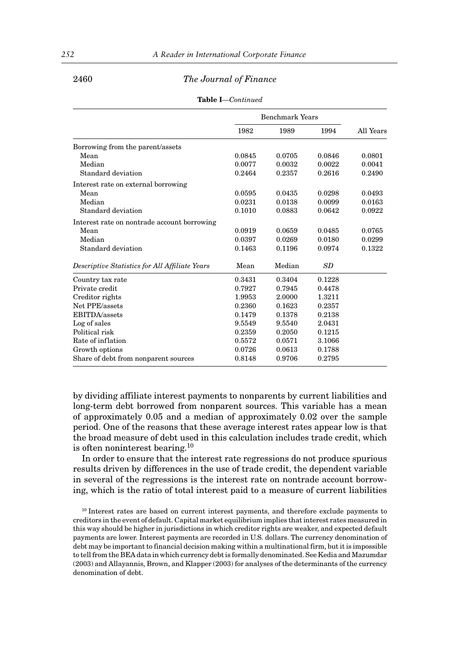|                                                |        | <b>Benchmark Years</b> |        |           |
|------------------------------------------------|--------|------------------------|--------|-----------|
|                                                | 1982   | 1989                   | 1994   | All Years |
| Borrowing from the parent/assets               |        |                        |        |           |
| Mean                                           | 0.0845 | 0.0705                 | 0.0846 | 0.0801    |
| Median                                         | 0.0077 | 0.0032                 | 0.0022 | 0.0041    |
| Standard deviation                             | 0.2464 | 0.2357                 | 0.2616 | 0.2490    |
| Interest rate on external borrowing            |        |                        |        |           |
| Mean                                           | 0.0595 | 0.0435                 | 0.0298 | 0.0493    |
| Median                                         | 0.0231 | 0.0138                 | 0.0099 | 0.0163    |
| Standard deviation                             | 0.1010 | 0.0883                 | 0.0642 | 0.0922    |
| Interest rate on nontrade account borrowing    |        |                        |        |           |
| Mean                                           | 0.0919 | 0.0659                 | 0.0485 | 0.0765    |
| Median                                         | 0.0397 | 0.0269                 | 0.0180 | 0.0299    |
| Standard deviation                             | 0.1463 | 0.1196                 | 0.0974 | 0.1322    |
| Descriptive Statistics for All Affiliate Years | Mean   | Median                 | SD     |           |
| Country tax rate                               | 0.3431 | 0.3404                 | 0.1228 |           |
| Private credit                                 | 0.7927 | 0.7945                 | 0.4478 |           |
| Creditor rights                                | 1.9953 | 2.0000                 | 1.3211 |           |
| Net PPE/assets                                 | 0.2360 | 0.1623                 | 0.2357 |           |
| EBITDA/assets                                  | 0.1479 | 0.1378                 | 0.2138 |           |
| Log of sales                                   | 9.5549 | 9.5540                 | 2.0431 |           |
| Political risk                                 | 0.2359 | 0.2050                 | 0.1215 |           |
| Rate of inflation                              | 0.5572 | 0.0571                 | 3.1066 |           |
| Growth options                                 | 0.0726 | 0.0613                 | 0.1788 |           |
| Share of debt from nonparent sources           | 0.8148 | 0.9706                 | 0.2795 |           |

### **Table I***—Continued*

by dividing affiliate interest payments to nonparents by current liabilities and long-term debt borrowed from nonparent sources. This variable has a mean of approximately 0.05 and a median of approximately 0.02 over the sample period. One of the reasons that these average interest rates appear low is that the broad measure of debt used in this calculation includes trade credit, which is often noninterest bearing.<sup>10</sup>

In order to ensure that the interest rate regressions do not produce spurious results driven by differences in the use of trade credit, the dependent variable in several of the regressions is the interest rate on nontrade account borrowing, which is the ratio of total interest paid to a measure of current liabilities

<sup>10</sup> Interest rates are based on current interest payments, and therefore exclude payments to creditors in the event of default. Capital market equilibrium implies that interest rates measured in this way should be higher in jurisdictions in which creditor rights are weaker, and expected default payments are lower. Interest payments are recorded in U.S. dollars. The currency denomination of debt may be important to financial decision making within a multinational firm, but it is impossible to tell from the BEA data in which currency debt is formally denominated. See Kedia and Mazumdar (2003) and Allayannis, Brown, and Klapper (2003) for analyses of the determinants of the currency denomination of debt.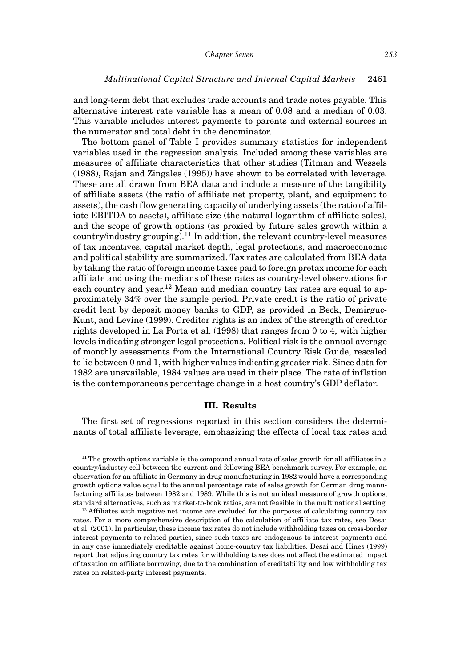and long-term debt that excludes trade accounts and trade notes payable. This alternative interest rate variable has a mean of 0.08 and a median of 0.03. This variable includes interest payments to parents and external sources in the numerator and total debt in the denominator.

The bottom panel of Table I provides summary statistics for independent variables used in the regression analysis. Included among these variables are measures of affiliate characteristics that other studies (Titman and Wessels (1988), Rajan and Zingales (1995)) have shown to be correlated with leverage. These are all drawn from BEA data and include a measure of the tangibility of affiliate assets (the ratio of affiliate net property, plant, and equipment to assets), the cash flow generating capacity of underlying assets (the ratio of affiliate EBITDA to assets), affiliate size (the natural logarithm of affiliate sales), and the scope of growth options (as proxied by future sales growth within a country/industry grouping).<sup>11</sup> In addition, the relevant country-level measures of tax incentives, capital market depth, legal protections, and macroeconomic and political stability are summarized. Tax rates are calculated from BEA data by taking the ratio of foreign income taxes paid to foreign pretax income for each affiliate and using the medians of these rates as country-level observations for each country and year.<sup>12</sup> Mean and median country tax rates are equal to approximately 34% over the sample period. Private credit is the ratio of private credit lent by deposit money banks to GDP, as provided in Beck, Demirguc-Kunt, and Levine (1999). Creditor rights is an index of the strength of creditor rights developed in La Porta et al. (1998) that ranges from 0 to 4, with higher levels indicating stronger legal protections. Political risk is the annual average of monthly assessments from the International Country Risk Guide, rescaled to lie between 0 and 1, with higher values indicating greater risk. Since data for 1982 are unavailable, 1984 values are used in their place. The rate of inf lation is the contemporaneous percentage change in a host country's GDP deflator.

### **III. Results**

The first set of regressions reported in this section considers the determinants of total affiliate leverage, emphasizing the effects of local tax rates and

 $11$  The growth options variable is the compound annual rate of sales growth for all affiliates in a country/industry cell between the current and following BEA benchmark survey. For example, an observation for an affiliate in Germany in drug manufacturing in 1982 would have a corresponding growth options value equal to the annual percentage rate of sales growth for German drug manufacturing affiliates between 1982 and 1989. While this is not an ideal measure of growth options, standard alternatives, such as market-to-book ratios, are not feasible in the multinational setting.

 $12$  Affiliates with negative net income are excluded for the purposes of calculating country tax rates. For a more comprehensive description of the calculation of affiliate tax rates, see Desai et al. (2001). In particular, these income tax rates do not include withholding taxes on cross-border interest payments to related parties, since such taxes are endogenous to interest payments and in any case immediately creditable against home-country tax liabilities. Desai and Hines (1999) report that adjusting country tax rates for withholding taxes does not affect the estimated impact of taxation on affiliate borrowing, due to the combination of creditability and low withholding tax rates on related-party interest payments.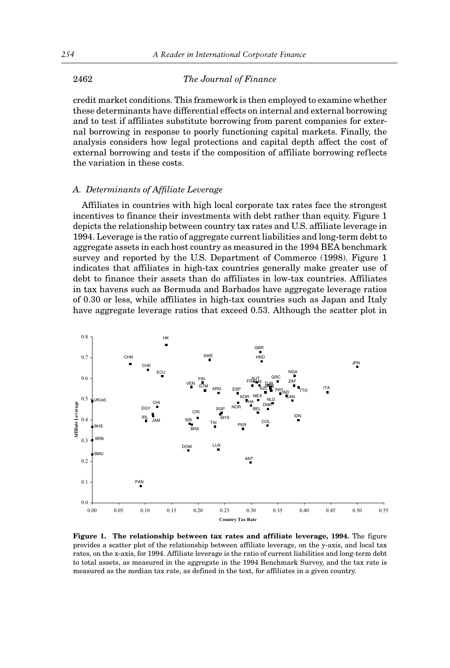credit market conditions. This framework is then employed to examine whether these determinants have differential effects on internal and external borrowing and to test if affiliates substitute borrowing from parent companies for external borrowing in response to poorly functioning capital markets. Finally, the analysis considers how legal protections and capital depth affect the cost of external borrowing and tests if the composition of affiliate borrowing reflects the variation in these costs.

### *A. Determinants of Affiliate Leverage*

Affiliates in countries with high local corporate tax rates face the strongest incentives to finance their investments with debt rather than equity. Figure 1 depicts the relationship between country tax rates and U.S. affiliate leverage in 1994. Leverage is the ratio of aggregate current liabilities and long-term debt to aggregate assets in each host country as measured in the 1994 BEA benchmark survey and reported by the U.S. Department of Commerce (1998). Figure 1 indicates that affiliates in high-tax countries generally make greater use of debt to finance their assets than do affiliates in low-tax countries. Affiliates in tax havens such as Bermuda and Barbados have aggregate leverage ratios of 0.30 or less, while affiliates in high-tax countries such as Japan and Italy have aggregate leverage ratios that exceed 0.53. Although the scatter plot in



**Figure 1. The relationship between tax rates and affiliate leverage, 1994.** The figure provides a scatter plot of the relationship between affiliate leverage, on the y-axis, and local tax rates, on the x-axis, for 1994. Affiliate leverage is the ratio of current liabilities and long-term debt to total assets, as measured in the aggregate in the 1994 Benchmark Survey, and the tax rate is measured as the median tax rate, as defined in the text, for affiliates in a given country.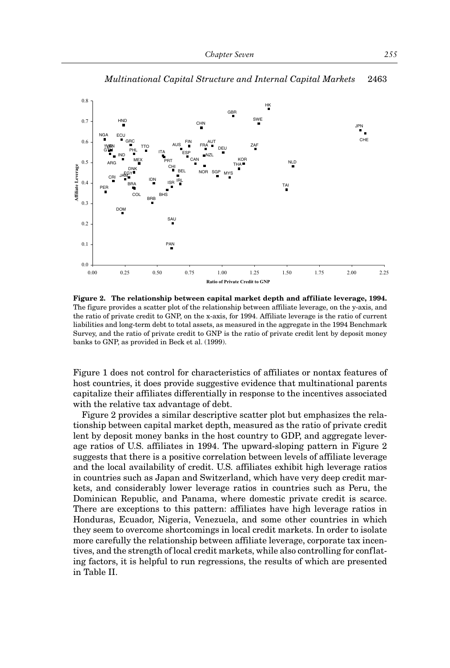

*Multinational Capital Structure and Internal Capital Markets* 2463

**Figure 2. The relationship between capital market depth and affiliate leverage, 1994.** The figure provides a scatter plot of the relationship between affiliate leverage, on the y-axis, and the ratio of private credit to GNP, on the x-axis, for 1994. Affiliate leverage is the ratio of current liabilities and long-term debt to total assets, as measured in the aggregate in the 1994 Benchmark Survey, and the ratio of private credit to GNP is the ratio of private credit lent by deposit money banks to GNP, as provided in Beck et al. (1999).

Figure 1 does not control for characteristics of affiliates or nontax features of host countries, it does provide suggestive evidence that multinational parents capitalize their affiliates differentially in response to the incentives associated with the relative tax advantage of debt.

Figure 2 provides a similar descriptive scatter plot but emphasizes the relationship between capital market depth, measured as the ratio of private credit lent by deposit money banks in the host country to GDP, and aggregate leverage ratios of U.S. affiliates in 1994. The upward-sloping pattern in Figure 2 suggests that there is a positive correlation between levels of affiliate leverage and the local availability of credit. U.S. affiliates exhibit high leverage ratios in countries such as Japan and Switzerland, which have very deep credit markets, and considerably lower leverage ratios in countries such as Peru, the Dominican Republic, and Panama, where domestic private credit is scarce. There are exceptions to this pattern: affiliates have high leverage ratios in Honduras, Ecuador, Nigeria, Venezuela, and some other countries in which they seem to overcome shortcomings in local credit markets. In order to isolate more carefully the relationship between affiliate leverage, corporate tax incentives, and the strength of local credit markets, while also controlling for conflating factors, it is helpful to run regressions, the results of which are presented in Table II.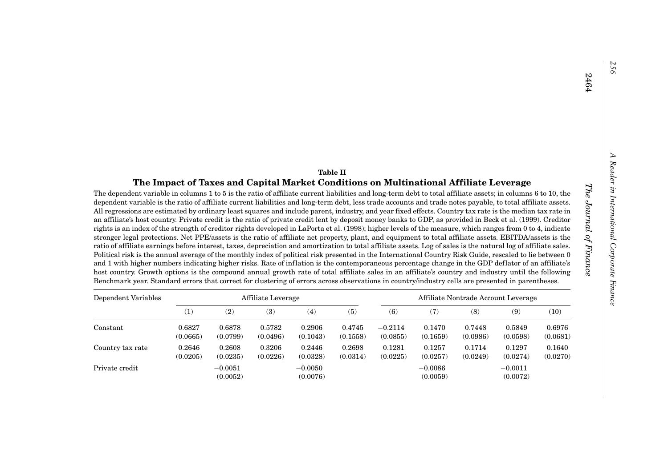**The Impact of Taxes and Capital Market Conditions on Multinational Affiliate Leverage<br>The dependent variable in columns 1 to 5 is the ratio of affiliate current liabilities and long-term debt to total affiliate assets; i** Benchmark year. Standard errors that correct for clustering of errors across observations in country/industry cells are presented in parentheses.

| Dependent Variables |                    |                       | Affiliate Leverage |                       |                    |                       | Affiliate Nontrade Account Leverage |                    |                       |                    |  |
|---------------------|--------------------|-----------------------|--------------------|-----------------------|--------------------|-----------------------|-------------------------------------|--------------------|-----------------------|--------------------|--|
|                     | $\bf (1)$          | (2)                   | (3)                | (4)                   | (5)                | (6)                   | (7)                                 | (8)                | (9)                   | (10)               |  |
| Constant            | 0.6827<br>(0.0665) | 0.6878<br>(0.0799)    | 0.5782<br>(0.0496) | 0.2906<br>(0.1043)    | 0.4745<br>(0.1558) | $-0.2114$<br>(0.0855) | 0.1470<br>(0.1659)                  | 0.7448<br>(0.0986) | 0.5849<br>(0.0598)    | 0.6976<br>(0.0681) |  |
| Country tax rate    | 0.2646<br>(0.0205) | 0.2608<br>(0.0235)    | 0.3206<br>(0.0226) | 0.2446<br>(0.0328)    | 0.2698<br>(0.0314) | 0.1281<br>(0.0225)    | 0.1257<br>(0.0257)                  | 0.1714<br>(0.0249) | 0.1297<br>(0.0274)    | 0.1640<br>(0.0270) |  |
| Private credit      |                    | $-0.0051$<br>(0.0052) |                    | $-0.0050$<br>(0.0076) |                    |                       | $-0.0086$<br>(0.0059)               |                    | $-0.0011$<br>(0.0072) |                    |  |

256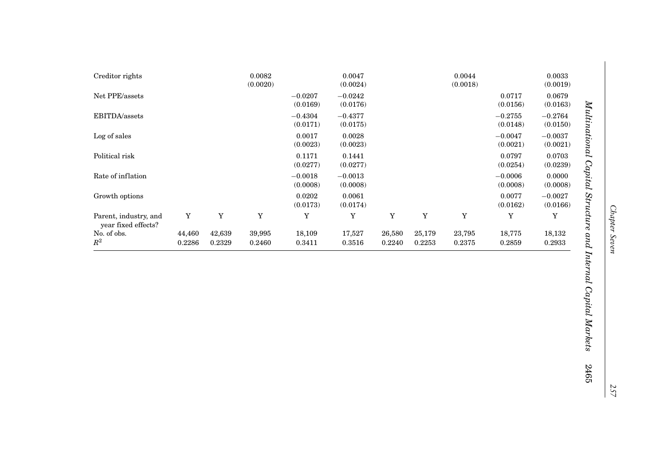| Creditor rights                              |                  |                  | 0.0082<br>(0.0020) |                       | 0.0047<br>(0.0024)    |                  |                  | 0.0044<br>(0.0018) |                       | 0.0033<br>(0.0019)    |   |
|----------------------------------------------|------------------|------------------|--------------------|-----------------------|-----------------------|------------------|------------------|--------------------|-----------------------|-----------------------|---|
| Net PPE/assets                               |                  |                  |                    | $-0.0207$<br>(0.0169) | $-0.0242$<br>(0.0176) |                  |                  |                    | 0.0717<br>(0.0156)    | 0.0679<br>(0.0163)    | Э |
| EBITDA/assets                                |                  |                  |                    | $-0.4304$<br>(0.0171) | $-0.4377$<br>(0.0175) |                  |                  |                    | $-0.2755$<br>(0.0148) | $-0.2764$<br>(0.0150) |   |
| Log of sales                                 |                  |                  |                    | 0.0017<br>(0.0023)    | 0.0028<br>(0.0023)    |                  |                  |                    | $-0.0047$<br>(0.0021) | $-0.0037$<br>(0.0021) |   |
| Political risk                               |                  |                  |                    | 0.1171<br>(0.0277)    | 0.1441<br>(0.0277)    |                  |                  |                    | 0.0797<br>(0.0254)    | 0.0703<br>(0.0239)    |   |
| Rate of inflation                            |                  |                  |                    | $-0.0018$<br>(0.0008) | $-0.0013$<br>(0.0008) |                  |                  |                    | $-0.0006$<br>(0.0008) | 0.0000<br>(0.0008)    |   |
| Growth options                               |                  |                  |                    | 0.0202<br>(0.0173)    | 0.0061<br>(0.0174)    |                  |                  |                    | 0.0077<br>(0.0162)    | $-0.0027$<br>(0.0166) |   |
| Parent, industry, and<br>year fixed effects? | Y                | Y                | Y                  | Y                     | Y                     | Y                | Y                | Y                  | Y                     | Y                     |   |
| No. of obs.<br>$R^2$                         | 44,460<br>0.2286 | 42,639<br>0.2329 | 39,995<br>0.2460   | 18,109<br>0.3411      | 17,527<br>0.3516      | 26,580<br>0.2240 | 25,179<br>0.2253 | 23,795<br>0.2375   | 18,775<br>0.2859      | 18,132<br>0.2933      |   |

Multi *Multinational Capital Structure and Internal Capital Markets* Ę.  $\tilde{C}_\zeta$ itral St.  $\mathcal{L}_1$ d Internal Capital Markets 2465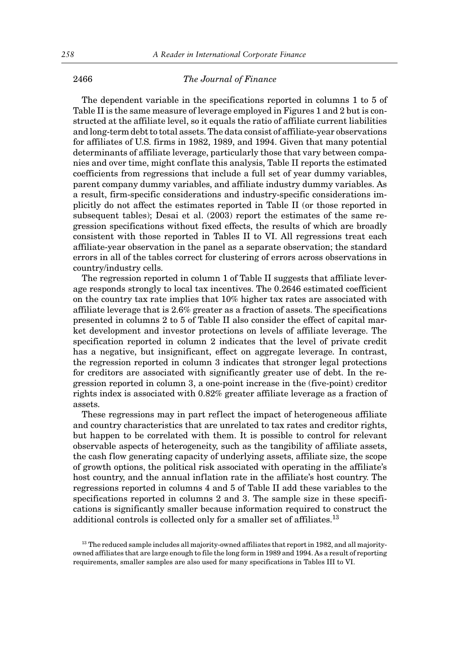The dependent variable in the specifications reported in columns 1 to 5 of Table II is the same measure of leverage employed in Figures 1 and 2 but is constructed at the affiliate level, so it equals the ratio of affiliate current liabilities and long-term debt to total assets. The data consist of affiliate-year observations for affiliates of U.S. firms in 1982, 1989, and 1994. Given that many potential determinants of affiliate leverage, particularly those that vary between companies and over time, might conflate this analysis, Table II reports the estimated coefficients from regressions that include a full set of year dummy variables, parent company dummy variables, and affiliate industry dummy variables. As a result, firm-specific considerations and industry-specific considerations implicitly do not affect the estimates reported in Table II (or those reported in subsequent tables); Desai et al. (2003) report the estimates of the same regression specifications without fixed effects, the results of which are broadly consistent with those reported in Tables II to VI. All regressions treat each affiliate-year observation in the panel as a separate observation; the standard errors in all of the tables correct for clustering of errors across observations in country/industry cells.

The regression reported in column 1 of Table II suggests that affiliate leverage responds strongly to local tax incentives. The 0.2646 estimated coefficient on the country tax rate implies that 10% higher tax rates are associated with affiliate leverage that is 2.6% greater as a fraction of assets. The specifications presented in columns 2 to 5 of Table II also consider the effect of capital market development and investor protections on levels of affiliate leverage. The specification reported in column 2 indicates that the level of private credit has a negative, but insignificant, effect on aggregate leverage. In contrast, the regression reported in column 3 indicates that stronger legal protections for creditors are associated with significantly greater use of debt. In the regression reported in column 3, a one-point increase in the (five-point) creditor rights index is associated with 0.82% greater affiliate leverage as a fraction of assets.

These regressions may in part reflect the impact of heterogeneous affiliate and country characteristics that are unrelated to tax rates and creditor rights, but happen to be correlated with them. It is possible to control for relevant observable aspects of heterogeneity, such as the tangibility of affiliate assets, the cash flow generating capacity of underlying assets, affiliate size, the scope of growth options, the political risk associated with operating in the affiliate's host country, and the annual inflation rate in the affiliate's host country. The regressions reported in columns 4 and 5 of Table II add these variables to the specifications reported in columns 2 and 3. The sample size in these specifications is significantly smaller because information required to construct the additional controls is collected only for a smaller set of affiliates.<sup>13</sup>

 $13$  The reduced sample includes all majority-owned affiliates that report in 1982, and all majorityowned affiliates that are large enough to file the long form in 1989 and 1994. As a result of reporting requirements, smaller samples are also used for many specifications in Tables III to VI.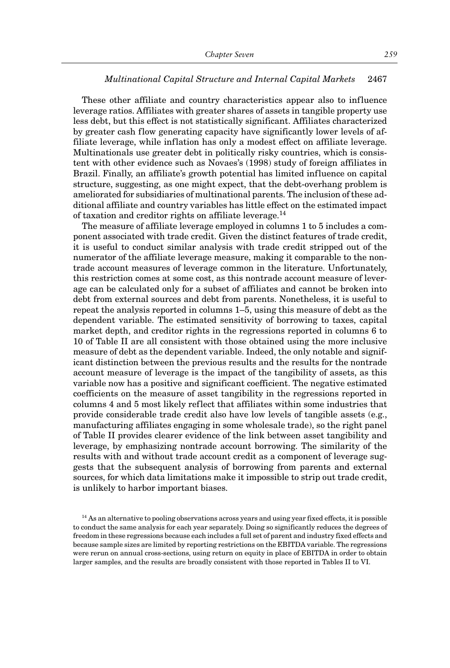These other affiliate and country characteristics appear also to influence leverage ratios. Affiliates with greater shares of assets in tangible property use less debt, but this effect is not statistically significant. Affiliates characterized by greater cash flow generating capacity have significantly lower levels of affiliate leverage, while inflation has only a modest effect on affiliate leverage. Multinationals use greater debt in politically risky countries, which is consistent with other evidence such as Novaes's (1998) study of foreign affiliates in Brazil. Finally, an affiliate's growth potential has limited influence on capital structure, suggesting, as one might expect, that the debt-overhang problem is ameliorated for subsidiaries of multinational parents. The inclusion of these additional affiliate and country variables has little effect on the estimated impact of taxation and creditor rights on affiliate leverage.<sup>14</sup>

The measure of affiliate leverage employed in columns 1 to 5 includes a component associated with trade credit. Given the distinct features of trade credit, it is useful to conduct similar analysis with trade credit stripped out of the numerator of the affiliate leverage measure, making it comparable to the nontrade account measures of leverage common in the literature. Unfortunately, this restriction comes at some cost, as this nontrade account measure of leverage can be calculated only for a subset of affiliates and cannot be broken into debt from external sources and debt from parents. Nonetheless, it is useful to repeat the analysis reported in columns 1–5, using this measure of debt as the dependent variable. The estimated sensitivity of borrowing to taxes, capital market depth, and creditor rights in the regressions reported in columns 6 to 10 of Table II are all consistent with those obtained using the more inclusive measure of debt as the dependent variable. Indeed, the only notable and significant distinction between the previous results and the results for the nontrade account measure of leverage is the impact of the tangibility of assets, as this variable now has a positive and significant coefficient. The negative estimated coefficients on the measure of asset tangibility in the regressions reported in columns 4 and 5 most likely ref lect that affiliates within some industries that provide considerable trade credit also have low levels of tangible assets (e.g., manufacturing affiliates engaging in some wholesale trade), so the right panel of Table II provides clearer evidence of the link between asset tangibility and leverage, by emphasizing nontrade account borrowing. The similarity of the results with and without trade account credit as a component of leverage suggests that the subsequent analysis of borrowing from parents and external sources, for which data limitations make it impossible to strip out trade credit, is unlikely to harbor important biases.

<sup>14</sup> As an alternative to pooling observations across years and using year fixed effects, it is possible to conduct the same analysis for each year separately. Doing so significantly reduces the degrees of freedom in these regressions because each includes a full set of parent and industry fixed effects and because sample sizes are limited by reporting restrictions on the EBITDA variable. The regressions were rerun on annual cross-sections, using return on equity in place of EBITDA in order to obtain larger samples, and the results are broadly consistent with those reported in Tables II to VI.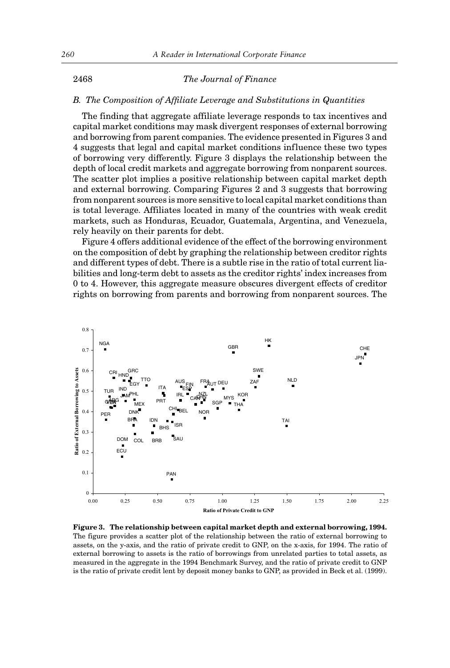### *B. The Composition of Affiliate Leverage and Substitutions in Quantities*

The finding that aggregate affiliate leverage responds to tax incentives and capital market conditions may mask divergent responses of external borrowing and borrowing from parent companies. The evidence presented in Figures 3 and 4 suggests that legal and capital market conditions inf luence these two types of borrowing very differently. Figure 3 displays the relationship between the depth of local credit markets and aggregate borrowing from nonparent sources. The scatter plot implies a positive relationship between capital market depth and external borrowing. Comparing Figures 2 and 3 suggests that borrowing from nonparent sources is more sensitive to local capital market conditions than is total leverage. Affiliates located in many of the countries with weak credit markets, such as Honduras, Ecuador, Guatemala, Argentina, and Venezuela, rely heavily on their parents for debt.

Figure 4 offers additional evidence of the effect of the borrowing environment on the composition of debt by graphing the relationship between creditor rights and different types of debt. There is a subtle rise in the ratio of total current liabilities and long-term debt to assets as the creditor rights' index increases from 0 to 4. However, this aggregate measure obscures divergent effects of creditor rights on borrowing from parents and borrowing from nonparent sources. The



**Figure 3. The relationship between capital market depth and external borrowing, 1994.** The figure provides a scatter plot of the relationship between the ratio of external borrowing to assets, on the y-axis, and the ratio of private credit to GNP, on the x-axis, for 1994. The ratio of external borrowing to assets is the ratio of borrowings from unrelated parties to total assets, as measured in the aggregate in the 1994 Benchmark Survey, and the ratio of private credit to GNP is the ratio of private credit lent by deposit money banks to GNP, as provided in Beck et al. (1999).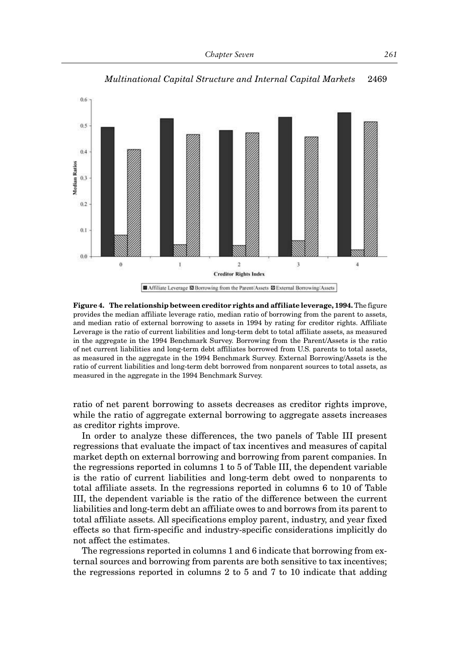

*Multinational Capital Structure and Internal Capital Markets* 2469

**Figure 4. The relationship between creditor rights and affiliate leverage, 1994.** The figure provides the median affiliate leverage ratio, median ratio of borrowing from the parent to assets, and median ratio of external borrowing to assets in 1994 by rating for creditor rights. Affiliate Leverage is the ratio of current liabilities and long-term debt to total affiliate assets, as measured in the aggregate in the 1994 Benchmark Survey. Borrowing from the Parent/Assets is the ratio of net current liabilities and long-term debt affiliates borrowed from U.S. parents to total assets, as measured in the aggregate in the 1994 Benchmark Survey. External Borrowing/Assets is the ratio of current liabilities and long-term debt borrowed from nonparent sources to total assets, as measured in the aggregate in the 1994 Benchmark Survey.

ratio of net parent borrowing to assets decreases as creditor rights improve, while the ratio of aggregate external borrowing to aggregate assets increases as creditor rights improve.

In order to analyze these differences, the two panels of Table III present regressions that evaluate the impact of tax incentives and measures of capital market depth on external borrowing and borrowing from parent companies. In the regressions reported in columns 1 to 5 of Table III, the dependent variable is the ratio of current liabilities and long-term debt owed to nonparents to total affiliate assets. In the regressions reported in columns 6 to 10 of Table III, the dependent variable is the ratio of the difference between the current liabilities and long-term debt an affiliate owes to and borrows from its parent to total affiliate assets. All specifications employ parent, industry, and year fixed effects so that firm-specific and industry-specific considerations implicitly do not affect the estimates.

The regressions reported in columns 1 and 6 indicate that borrowing from external sources and borrowing from parents are both sensitive to tax incentives; the regressions reported in columns 2 to 5 and 7 to 10 indicate that adding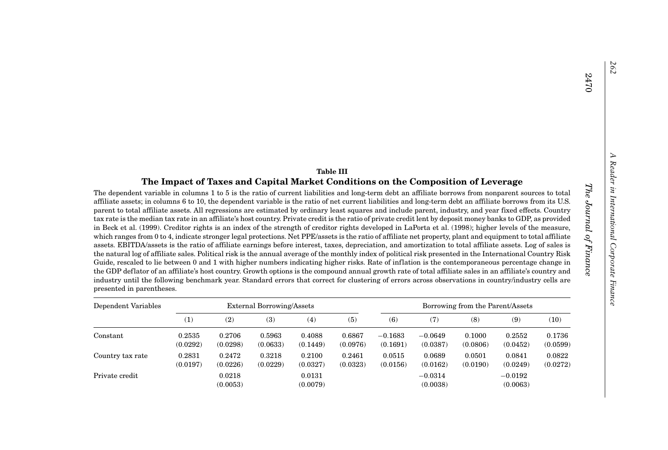The dependent variable in columns 1 to 5 is the ratio of current liabilitions on the Composition of Leverage<br>The dependent variable in columns 1 to 5 is the ratio of current liabilities and long-term debt an affiliate bor industry until the following benchmark year. Standard errors that correct for clustering of errors across observations in country/industry cells are presented in parentheses.

| Dependent Variables |                     |                    | External Borrowing/Assets |                    |                    |                       | Borrowing from the Parent/Assets |                    |                       |                    |  |
|---------------------|---------------------|--------------------|---------------------------|--------------------|--------------------|-----------------------|----------------------------------|--------------------|-----------------------|--------------------|--|
|                     | $\scriptstyle{(1)}$ | (2)                | (3)                       | (4)                | (5)                | (6)                   | (7)                              | (8)                | (9)                   | (10)               |  |
| Constant            | 0.2535<br>(0.0292)  | 0.2706<br>(0.0298) | 0.5963<br>(0.0633)        | 0.4088<br>(0.1449) | 0.6867<br>(0.0976) | $-0.1683$<br>(0.1691) | $-0.0649$<br>(0.0387)            | 0.1000<br>(0.0806) | 0.2552<br>(0.0452)    | 0.1736<br>(0.0599) |  |
| Country tax rate    | 0.2831<br>(0.0197)  | 0.2472<br>(0.0226) | 0.3218<br>(0.0229)        | 0.2100<br>(0.0327) | 0.2461<br>(0.0323) | 0.0515<br>(0.0156)    | 0.0689<br>(0.0162)               | 0.0501<br>(0.0190) | 0.0841<br>(0.0249)    | 0.0822<br>(0.0272) |  |
| Private credit      |                     | 0.0218<br>(0.0053) |                           | 0.0131<br>(0.0079) |                    |                       | $-0.0314$<br>(0.0038)            |                    | $-0.0192$<br>(0.0063) |                    |  |

262

2470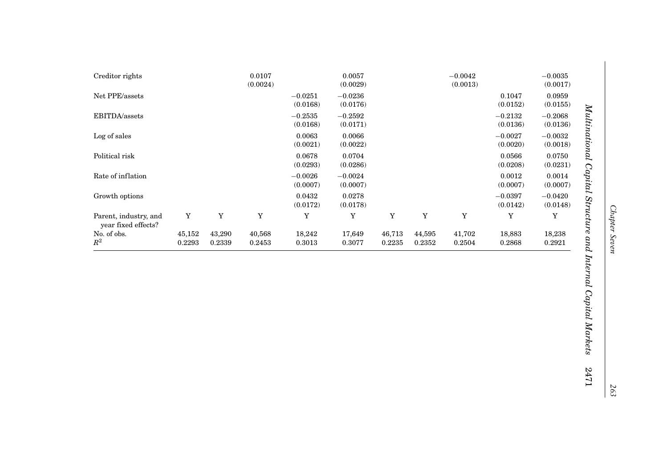| Creditor rights                              |                  |                  | 0.0107<br>(0.0024) |                       | 0.0057<br>(0.0029)    |                  |                  | $-0.0042$<br>(0.0013) |                       | $-0.0035$<br>(0.0017) |
|----------------------------------------------|------------------|------------------|--------------------|-----------------------|-----------------------|------------------|------------------|-----------------------|-----------------------|-----------------------|
| Net PPE/assets                               |                  |                  |                    | $-0.0251$<br>(0.0168) | $-0.0236$<br>(0.0176) |                  |                  |                       | 0.1047<br>(0.0152)    | 0.0959<br>(0.0155)    |
| EBITDA/assets                                |                  |                  |                    | $-0.2535$<br>(0.0168) | $-0.2592$<br>(0.0171) |                  |                  |                       | $-0.2132$<br>(0.0136) | $-0.2068$<br>(0.0136) |
| Log of sales                                 |                  |                  |                    | 0.0063<br>(0.0021)    | 0.0066<br>(0.0022)    |                  |                  |                       | $-0.0027$<br>(0.0020) | $-0.0032$<br>(0.0018) |
| Political risk                               |                  |                  |                    | 0.0678<br>(0.0293)    | 0.0704<br>(0.0286)    |                  |                  |                       | 0.0566<br>(0.0208)    | 0.0750<br>(0.0231)    |
| Rate of inflation                            |                  |                  |                    | $-0.0026$<br>(0.0007) | $-0.0024$<br>(0.0007) |                  |                  |                       | 0.0012<br>(0.0007)    | 0.0014<br>(0.0007)    |
| Growth options                               |                  |                  |                    | 0.0432<br>(0.0172)    | 0.0278<br>(0.0178)    |                  |                  |                       | $-0.0397$<br>(0.0142) | $-0.0420$<br>(0.0148) |
| Parent, industry, and<br>year fixed effects? | $\mathbf Y$      | Y                | Y                  | Y                     | Y                     | Y                | Y                | Y                     | Y                     | Y                     |
| No. of obs.<br>$R^2$                         | 45,152<br>0.2293 | 43,290<br>0.2339 | 40,568<br>0.2453   | 18,242<br>0.3013      | 17,649<br>0.3077      | 46,713<br>0.2235 | 44,595<br>0.2352 | 41,702<br>0.2504      | 18,883<br>0.2868      | 18,238<br>0.2921      |

Multinational Capital Structure and Internal Capital Markets *Multinational Capital Structure and Internal Capital Markets* 2471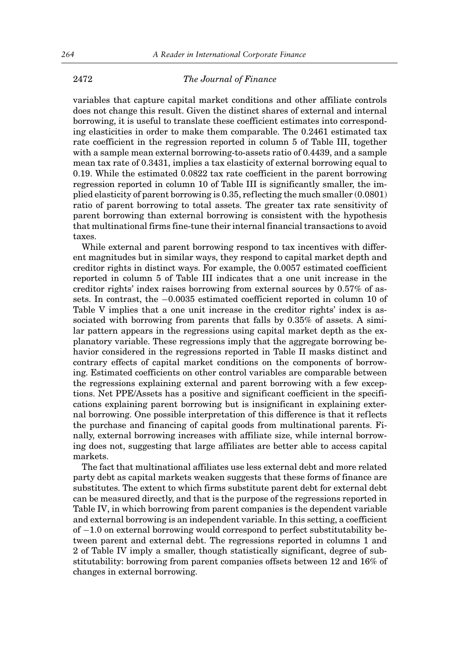variables that capture capital market conditions and other affiliate controls does not change this result. Given the distinct shares of external and internal borrowing, it is useful to translate these coefficient estimates into corresponding elasticities in order to make them comparable. The 0.2461 estimated tax rate coefficient in the regression reported in column 5 of Table III, together with a sample mean external borrowing-to-assets ratio of 0.4439, and a sample mean tax rate of 0.3431, implies a tax elasticity of external borrowing equal to 0.19. While the estimated 0.0822 tax rate coefficient in the parent borrowing regression reported in column 10 of Table III is significantly smaller, the implied elasticity of parent borrowing is 0.35, ref lecting the much smaller (0.0801) ratio of parent borrowing to total assets. The greater tax rate sensitivity of parent borrowing than external borrowing is consistent with the hypothesis that multinational firms fine-tune their internal financial transactions to avoid taxes.

While external and parent borrowing respond to tax incentives with different magnitudes but in similar ways, they respond to capital market depth and creditor rights in distinct ways. For example, the 0.0057 estimated coefficient reported in column 5 of Table III indicates that a one unit increase in the creditor rights' index raises borrowing from external sources by 0.57% of assets. In contrast, the −0.0035 estimated coefficient reported in column 10 of Table V implies that a one unit increase in the creditor rights' index is associated with borrowing from parents that falls by 0.35% of assets. A similar pattern appears in the regressions using capital market depth as the explanatory variable. These regressions imply that the aggregate borrowing behavior considered in the regressions reported in Table II masks distinct and contrary effects of capital market conditions on the components of borrowing. Estimated coefficients on other control variables are comparable between the regressions explaining external and parent borrowing with a few exceptions. Net PPE/Assets has a positive and significant coefficient in the specifications explaining parent borrowing but is insignificant in explaining external borrowing. One possible interpretation of this difference is that it ref lects the purchase and financing of capital goods from multinational parents. Finally, external borrowing increases with affiliate size, while internal borrowing does not, suggesting that large affiliates are better able to access capital markets.

The fact that multinational affiliates use less external debt and more related party debt as capital markets weaken suggests that these forms of finance are substitutes. The extent to which firms substitute parent debt for external debt can be measured directly, and that is the purpose of the regressions reported in Table IV, in which borrowing from parent companies is the dependent variable and external borrowing is an independent variable. In this setting, a coefficient of −1.0 on external borrowing would correspond to perfect substitutability between parent and external debt. The regressions reported in columns 1 and 2 of Table IV imply a smaller, though statistically significant, degree of substitutability: borrowing from parent companies offsets between 12 and 16% of changes in external borrowing.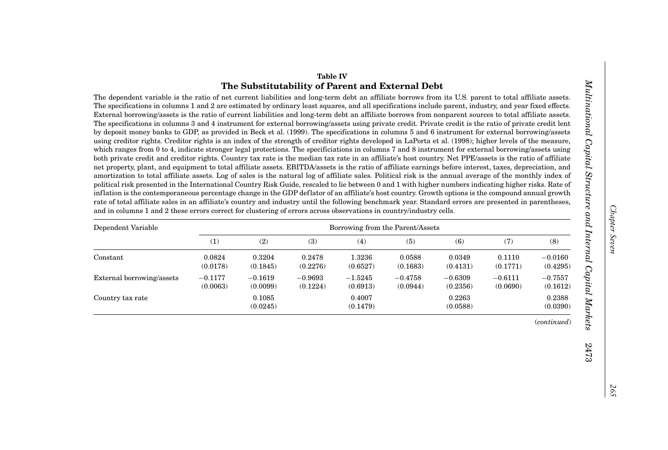### **Table IVThe Substitutability of Parent and External Debt**

The dependent variable is the ratio of net current liabilities and long-term debt an affiliate borrows from its U.S. parent to total affiliate assets. The specifications in columns 1 and 2 are estimated by ordinary least squares, and all specifications include parent, industry, and year fixed effects. External borrowing/assets is the ratio of current liabilities and long-term debt an affiliate borrows from nonparent sources to total affiliate assets. The specifications in columns 3 and 4 instrument for external borrowing/assets using private credit. Private credit is the ratio of private credit lent by deposit money banks to GDP, as provided in Beck et al. (1999). The specifications in columns 5 and 6 instrument for external borrowing/assets using creditor rights. Creditor rights is an index of the strength of creditor rights developed in LaPorta et al. (1998); higher levels of the measure, which ranges from 0 to 4, indicate stronger legal protections. The specificiations in columns 7 and 8 instrument for external borrowing/assets using both private credit and creditor rights. Country tax rate is the median tax rate in an affiliate's host country. Net PPE/assets is the ratio of affiliate net property, plant, and equipment to total affiliate assets. EBITDA/assets is the ratio of affiliate earnings before interest, taxes, depreciation, and amortization to total affiliate assets. Log of sales is the natural log of affiliate sales. Political risk is the annual average of the monthly index of political risk presented in the International Country Risk Guide, rescaled to lie between 0 and 1 with higher numbers indicating higher risks. Rate of inflation is the contemporaneous percentage change in the GDP deflator of an affiliate's host country. Growth options is the compound annual growth rate of total affiliate sales in an affiliate's country and industry until the following benchmark year. Standard errors are presented in parentheses, and in columns 1 and 2 these errors correct for clustering of errors across observations in country/industry cells.

| Dependent Variable        |                       | Borrowing from the Parent/Assets |                       |                       |                       |                       |                       |                       |  |  |  |
|---------------------------|-----------------------|----------------------------------|-----------------------|-----------------------|-----------------------|-----------------------|-----------------------|-----------------------|--|--|--|
|                           | $\bf (1)$             | (2)                              | (3)                   | (4)                   | (5)                   | (6)                   | (7)                   | (8)                   |  |  |  |
| Constant                  | 0.0824<br>(0.0178)    | 0.3204<br>(0.1845)               | 0.2478<br>(0.2276)    | 1.3236<br>(0.6527)    | 0.0588<br>(0.1683)    | 0.0349<br>(0.4131)    | 0.1110<br>(0.1771)    | $-0.0160$<br>(0.4295) |  |  |  |
| External borrowing/assets | $-0.1177$<br>(0.0063) | $-0.1619$<br>(0.0099)            | $-0.9693$<br>(0.1224) | $-1.5245$<br>(0.6913) | $-0.4758$<br>(0.0944) | $-0.6309$<br>(0.2356) | $-0.6111$<br>(0.0690) | $-0.7557$<br>(0.1612) |  |  |  |
| Country tax rate          |                       | 0.1085<br>(0.0245)               |                       | 0.4007<br>(0.1479)    |                       | 0.2263<br>(0.0588)    |                       | 0.2388<br>(0.0390)    |  |  |  |

(*continued*)

*Chapter Seven*

Chapter Seven

2473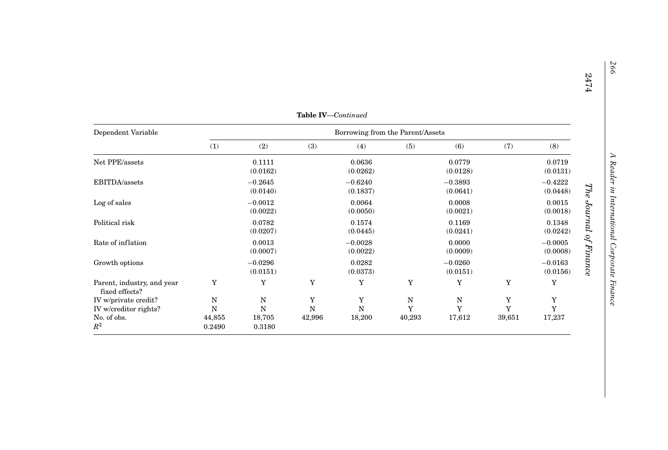|                                              |                                  |                       | <b>Table IV</b> —Continued |                       |        |                       |        |                       |  |  |
|----------------------------------------------|----------------------------------|-----------------------|----------------------------|-----------------------|--------|-----------------------|--------|-----------------------|--|--|
| Dependent Variable                           | Borrowing from the Parent/Assets |                       |                            |                       |        |                       |        |                       |  |  |
|                                              | (1)                              | (2)                   | (3)                        | (4)                   | (5)    | (6)                   | (7)    | (8)                   |  |  |
| Net PPE/assets                               |                                  | 0.1111<br>(0.0162)    |                            | 0.0636<br>(0.0262)    |        | 0.0779<br>(0.0128)    |        | 0.0719<br>(0.0131)    |  |  |
| EBITDA/assets                                |                                  | $-0.2645$<br>(0.0140) |                            | $-0.6240$<br>(0.1837) |        | $-0.3893$<br>(0.0641) |        | $-0.4222$<br>(0.0448) |  |  |
| Log of sales                                 |                                  | $-0.0012$<br>(0.0022) |                            | 0.0064<br>(0.0050)    |        | 0.0008<br>(0.0021)    |        | 0.0015<br>(0.0018)    |  |  |
| Political risk                               |                                  | 0.0782<br>(0.0207)    |                            | 0.1574<br>(0.0445)    |        | 0.1169<br>(0.0241)    |        | 0.1348<br>(0.0242)    |  |  |
| Rate of inflation                            |                                  | 0.0013<br>(0.0007)    |                            | $-0.0028$<br>(0.0022) |        | 0.0000<br>(0.0009)    |        | $-0.0005$<br>(0.0008) |  |  |
| Growth options                               |                                  | $-0.0296$<br>(0.0151) |                            | 0.0282<br>(0.0373)    |        | $-0.0260$<br>(0.0151) |        | $-0.0163$<br>(0.0156) |  |  |
| Parent, industry, and year<br>fixed effects? | Y                                | Y                     | Y                          | Y                     | Y      | Y                     | Y      | Y                     |  |  |
| IV w/private credit?                         | ${\bf N}$                        | N                     | Y                          | Y                     | N      | N                     | Y      | Y                     |  |  |
| IV w/creditor rights?                        | N                                | N                     | N                          | N                     | Y      | Y                     | Y      | Y                     |  |  |
| No. of obs.<br>$\mathbb{R}^2$                | 44,855<br>0.2490                 | 18,705<br>0.3180      | 42,996                     | 18,200                | 40,293 | 17,612                | 39,651 | 17,237                |  |  |

266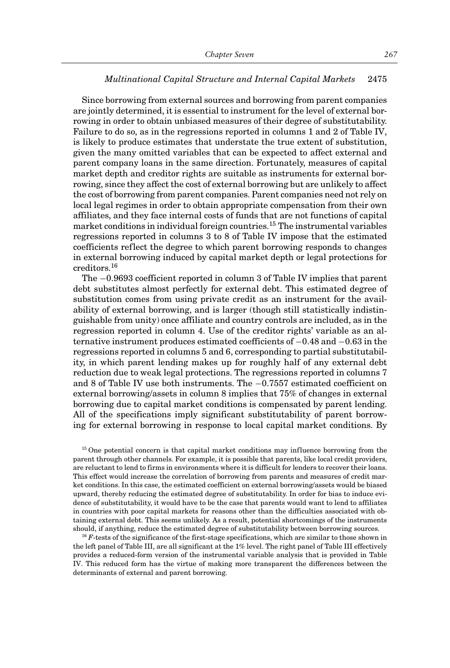Since borrowing from external sources and borrowing from parent companies are jointly determined, it is essential to instrument for the level of external borrowing in order to obtain unbiased measures of their degree of substitutability. Failure to do so, as in the regressions reported in columns 1 and 2 of Table IV, is likely to produce estimates that understate the true extent of substitution, given the many omitted variables that can be expected to affect external and parent company loans in the same direction. Fortunately, measures of capital market depth and creditor rights are suitable as instruments for external borrowing, since they affect the cost of external borrowing but are unlikely to affect the cost of borrowing from parent companies. Parent companies need not rely on local legal regimes in order to obtain appropriate compensation from their own affiliates, and they face internal costs of funds that are not functions of capital market conditions in individual foreign countries.<sup>15</sup> The instrumental variables regressions reported in columns 3 to 8 of Table IV impose that the estimated coefficients ref lect the degree to which parent borrowing responds to changes in external borrowing induced by capital market depth or legal protections for creditors.<sup>16</sup>

The −0.9693 coefficient reported in column 3 of Table IV implies that parent debt substitutes almost perfectly for external debt. This estimated degree of substitution comes from using private credit as an instrument for the availability of external borrowing, and is larger (though still statistically indistinguishable from unity) once affiliate and country controls are included, as in the regression reported in column 4. Use of the creditor rights' variable as an alternative instrument produces estimated coefficients of −0.48 and −0.63 in the regressions reported in columns 5 and 6, corresponding to partial substitutability, in which parent lending makes up for roughly half of any external debt reduction due to weak legal protections. The regressions reported in columns 7 and 8 of Table IV use both instruments. The −0.7557 estimated coefficient on external borrowing/assets in column 8 implies that 75% of changes in external borrowing due to capital market conditions is compensated by parent lending. All of the specifications imply significant substitutability of parent borrowing for external borrowing in response to local capital market conditions. By

<sup>15</sup> One potential concern is that capital market conditions may influence borrowing from the parent through other channels. For example, it is possible that parents, like local credit providers, are reluctant to lend to firms in environments where it is difficult for lenders to recover their loans. This effect would increase the correlation of borrowing from parents and measures of credit market conditions. In this case, the estimated coefficient on external borrowing/assets would be biased upward, thereby reducing the estimated degree of substitutability. In order for bias to induce evidence of substitutability, it would have to be the case that parents would want to lend to affiliates in countries with poor capital markets for reasons other than the difficulties associated with obtaining external debt. This seems unlikely. As a result, potential shortcomings of the instruments should, if anything, reduce the estimated degree of substitutability between borrowing sources.

 $16$   $F$ -tests of the significance of the first-stage specifications, which are similar to those shown in the left panel of Table III, are all significant at the 1% level. The right panel of Table III effectively provides a reduced-form version of the instrumental variable analysis that is provided in Table IV. This reduced form has the virtue of making more transparent the differences between the determinants of external and parent borrowing.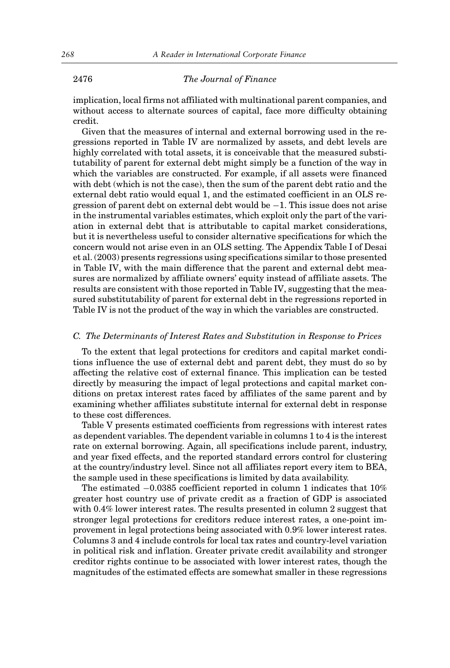implication, local firms not affiliated with multinational parent companies, and without access to alternate sources of capital, face more difficulty obtaining credit.

Given that the measures of internal and external borrowing used in the regressions reported in Table IV are normalized by assets, and debt levels are highly correlated with total assets, it is conceivable that the measured substitutability of parent for external debt might simply be a function of the way in which the variables are constructed. For example, if all assets were financed with debt (which is not the case), then the sum of the parent debt ratio and the external debt ratio would equal 1, and the estimated coefficient in an OLS regression of parent debt on external debt would be −1. This issue does not arise in the instrumental variables estimates, which exploit only the part of the variation in external debt that is attributable to capital market considerations, but it is nevertheless useful to consider alternative specifications for which the concern would not arise even in an OLS setting. The Appendix Table I of Desai et al. (2003) presents regressions using specifications similar to those presented in Table IV, with the main difference that the parent and external debt measures are normalized by affiliate owners' equity instead of affiliate assets. The results are consistent with those reported in Table IV, suggesting that the measured substitutability of parent for external debt in the regressions reported in Table IV is not the product of the way in which the variables are constructed.

### *C. The Determinants of Interest Rates and Substitution in Response to Prices*

To the extent that legal protections for creditors and capital market conditions inf luence the use of external debt and parent debt, they must do so by affecting the relative cost of external finance. This implication can be tested directly by measuring the impact of legal protections and capital market conditions on pretax interest rates faced by affiliates of the same parent and by examining whether affiliates substitute internal for external debt in response to these cost differences.

Table V presents estimated coefficients from regressions with interest rates as dependent variables. The dependent variable in columns 1 to 4 is the interest rate on external borrowing. Again, all specifications include parent, industry, and year fixed effects, and the reported standard errors control for clustering at the country/industry level. Since not all affiliates report every item to BEA, the sample used in these specifications is limited by data availability.

The estimated −0.0385 coefficient reported in column 1 indicates that 10% greater host country use of private credit as a fraction of GDP is associated with  $0.4\%$  lower interest rates. The results presented in column 2 suggest that stronger legal protections for creditors reduce interest rates, a one-point improvement in legal protections being associated with 0.9% lower interest rates. Columns 3 and 4 include controls for local tax rates and country-level variation in political risk and inflation. Greater private credit availability and stronger creditor rights continue to be associated with lower interest rates, though the magnitudes of the estimated effects are somewhat smaller in these regressions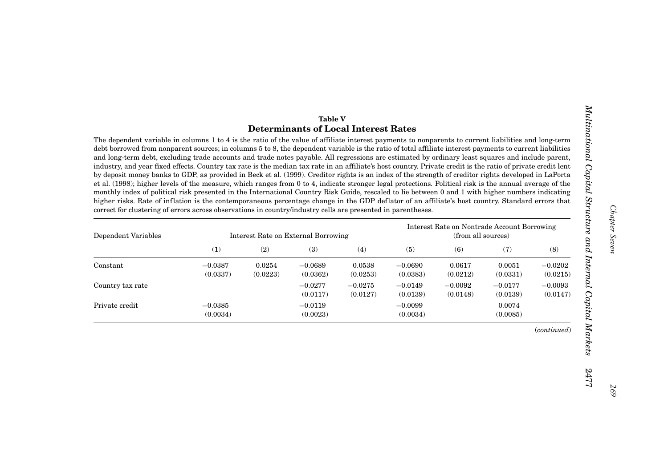| and long-term debt, excluding trade accounts and trade notes payable. All regressions are estimated by ordinary least squares and include parent,<br>industry, and year fixed effects. Country tax rate is the median tax rate in an affiliate's host country. Private credit is the ratio of private credit lent<br>by deposit money banks to GDP, as provided in Beck et al. (1999). Creditor rights is an index of the strength of creditor rights developed in LaPorta<br>et al. (1998); higher levels of the measure, which ranges from 0 to 4, indicate stronger legal protections. Political risk is the annual average of the<br>monthly index of political risk presented in the International Country Risk Guide, rescaled to lie between 0 and 1 with higher numbers indicating<br>higher risks. Rate of inflation is the contemporaneous percentage change in the GDP deflator of an affiliate's host country. Standard errors that<br>correct for clustering of errors across observations in country/industry cells are presented in parentheses. |                       |                    |                                     |                       |                       |                                                                   |                       |                       |
|-----------------------------------------------------------------------------------------------------------------------------------------------------------------------------------------------------------------------------------------------------------------------------------------------------------------------------------------------------------------------------------------------------------------------------------------------------------------------------------------------------------------------------------------------------------------------------------------------------------------------------------------------------------------------------------------------------------------------------------------------------------------------------------------------------------------------------------------------------------------------------------------------------------------------------------------------------------------------------------------------------------------------------------------------------------------|-----------------------|--------------------|-------------------------------------|-----------------------|-----------------------|-------------------------------------------------------------------|-----------------------|-----------------------|
| Dependent Variables                                                                                                                                                                                                                                                                                                                                                                                                                                                                                                                                                                                                                                                                                                                                                                                                                                                                                                                                                                                                                                             |                       |                    | Interest Rate on External Borrowing |                       |                       | Interest Rate on Nontrade Account Borrowing<br>(from all sources) |                       |                       |
|                                                                                                                                                                                                                                                                                                                                                                                                                                                                                                                                                                                                                                                                                                                                                                                                                                                                                                                                                                                                                                                                 | (1)                   | (2)                | (3)                                 | (4)                   | (5)                   | (6)                                                               | (7)                   | (8)                   |
| Constant                                                                                                                                                                                                                                                                                                                                                                                                                                                                                                                                                                                                                                                                                                                                                                                                                                                                                                                                                                                                                                                        | $-0.0387$<br>(0.0337) | 0.0254<br>(0.0223) | $-0.0689$<br>(0.0362)               | 0.0538<br>(0.0253)    | $-0.0690$<br>(0.0383) | 0.0617<br>(0.0212)                                                | 0.0051<br>(0.0331)    | $-0.0202$<br>(0.0215) |
| Country tax rate                                                                                                                                                                                                                                                                                                                                                                                                                                                                                                                                                                                                                                                                                                                                                                                                                                                                                                                                                                                                                                                |                       |                    | $-0.0277$<br>(0.0117)               | $-0.0275$<br>(0.0127) | $-0.0149$<br>(0.0139) | $-0.0092$<br>(0.0148)                                             | $-0.0177$<br>(0.0139) | $-0.0093$<br>(0.0147) |
| Private credit                                                                                                                                                                                                                                                                                                                                                                                                                                                                                                                                                                                                                                                                                                                                                                                                                                                                                                                                                                                                                                                  | $-0.0385$<br>(0.0034) |                    | $-0.0119$<br>(0.0023)               |                       | $-0.0099$<br>(0.0034) |                                                                   | 0.0074<br>(0.0085)    |                       |
|                                                                                                                                                                                                                                                                                                                                                                                                                                                                                                                                                                                                                                                                                                                                                                                                                                                                                                                                                                                                                                                                 |                       |                    |                                     |                       |                       |                                                                   |                       | (continued)           |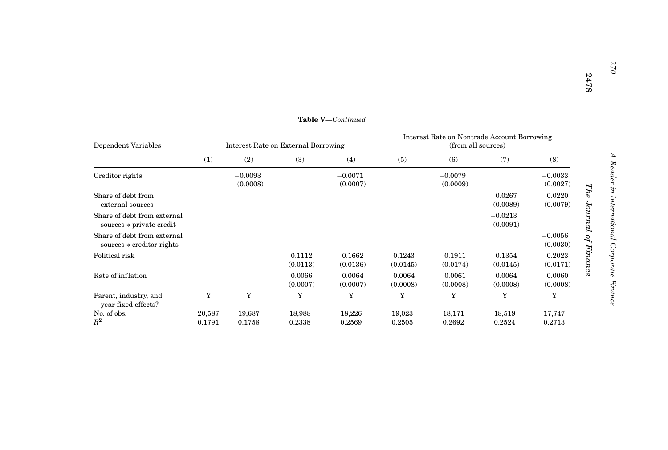|                                                            |                  |                       |                                     | <b>Table V</b> —Continued |                    |                                                                   |                       |                                  |  |
|------------------------------------------------------------|------------------|-----------------------|-------------------------------------|---------------------------|--------------------|-------------------------------------------------------------------|-----------------------|----------------------------------|--|
| Dependent Variables                                        |                  |                       | Interest Rate on External Borrowing |                           |                    | Interest Rate on Nontrade Account Borrowing<br>(from all sources) |                       |                                  |  |
|                                                            | (1)              | (2)                   | (3)                                 | (4)                       | (5)                | (6)                                                               | (7)                   | (8)                              |  |
| Creditor rights                                            |                  | $-0.0093$<br>(0.0008) |                                     | $-0.0071$<br>(0.0007)     |                    | $-0.0079$<br>(0.0009)                                             |                       | $-0.0033$<br>(0.0027)            |  |
| Share of debt from<br>external sources                     |                  |                       |                                     |                           |                    |                                                                   | 0.0267<br>(0.0089)    | The<br>0.0220<br>(0.0079)        |  |
| Share of debt from external<br>sources * private credit    |                  |                       |                                     |                           |                    |                                                                   | $-0.0213$<br>(0.0091) | Journal                          |  |
| Share of debt from external<br>sources $*$ creditor rights |                  |                       |                                     |                           |                    |                                                                   |                       | $-0.0056$<br>(0.0030)            |  |
| Political risk                                             |                  |                       | 0.1112<br>(0.0113)                  | 0.1662<br>(0.0136)        | 0.1243<br>(0.0145) | 0.1911<br>(0.0174)                                                | 0.1354<br>(0.0145)    | of Finance<br>0.2023<br>(0.0171) |  |
| Rate of inflation                                          |                  |                       | 0.0066<br>(0.0007)                  | 0.0064<br>(0.0007)        | 0.0064<br>(0.0008) | 0.0061<br>(0.0008)                                                | 0.0064<br>(0.0008)    | 0.0060<br>(0.0008)               |  |
| Parent, industry, and<br>year fixed effects?               | Y                | Y                     | Y                                   | Y                         | Y                  | Y                                                                 | Y                     | Y                                |  |
| No. of obs.<br>$R^2$                                       | 20,587<br>0.1791 | 19,687<br>0.1758      | 18,988<br>0.2338                    | 18,226<br>0.2569          | 19,023<br>0.2505   | 18,171<br>0.2692                                                  | 18,519<br>0.2524      | 17,747<br>0.2713                 |  |

| <b>Table V</b> —Continued |  |
|---------------------------|--|
|---------------------------|--|

2478

**270**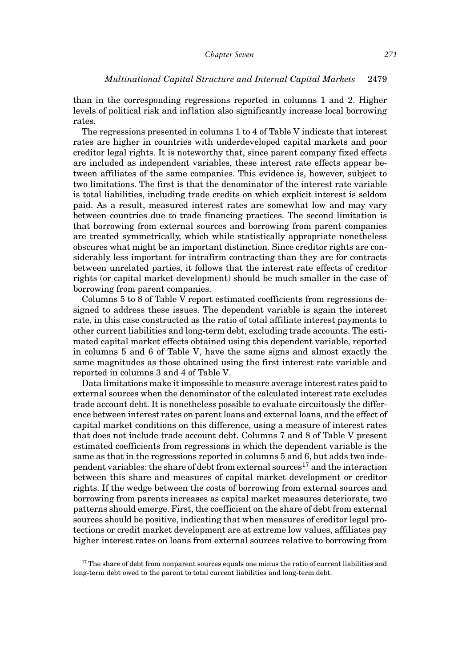than in the corresponding regressions reported in columns 1 and 2. Higher levels of political risk and inflation also significantly increase local borrowing rates.

The regressions presented in columns 1 to 4 of Table V indicate that interest rates are higher in countries with underdeveloped capital markets and poor creditor legal rights. It is noteworthy that, since parent company fixed effects are included as independent variables, these interest rate effects appear between affiliates of the same companies. This evidence is, however, subject to two limitations. The first is that the denominator of the interest rate variable is total liabilities, including trade credits on which explicit interest is seldom paid. As a result, measured interest rates are somewhat low and may vary between countries due to trade financing practices. The second limitation is that borrowing from external sources and borrowing from parent companies are treated symmetrically, which while statistically appropriate nonetheless obscures what might be an important distinction. Since creditor rights are considerably less important for intrafirm contracting than they are for contracts between unrelated parties, it follows that the interest rate effects of creditor rights (or capital market development) should be much smaller in the case of borrowing from parent companies.

Columns 5 to 8 of Table V report estimated coefficients from regressions designed to address these issues. The dependent variable is again the interest rate, in this case constructed as the ratio of total affiliate interest payments to other current liabilities and long-term debt, excluding trade accounts. The estimated capital market effects obtained using this dependent variable, reported in columns 5 and 6 of Table V, have the same signs and almost exactly the same magnitudes as those obtained using the first interest rate variable and reported in columns 3 and 4 of Table V.

Data limitations make it impossible to measure average interest rates paid to external sources when the denominator of the calculated interest rate excludes trade account debt. It is nonetheless possible to evaluate circuitously the difference between interest rates on parent loans and external loans, and the effect of capital market conditions on this difference, using a measure of interest rates that does not include trade account debt. Columns 7 and 8 of Table V present estimated coefficients from regressions in which the dependent variable is the same as that in the regressions reported in columns 5 and 6, but adds two independent variables: the share of debt from external sources<sup>17</sup> and the interaction between this share and measures of capital market development or creditor rights. If the wedge between the costs of borrowing from external sources and borrowing from parents increases as capital market measures deteriorate, two patterns should emerge. First, the coefficient on the share of debt from external sources should be positive, indicating that when measures of creditor legal protections or credit market development are at extreme low values, affiliates pay higher interest rates on loans from external sources relative to borrowing from

<sup>17</sup> The share of debt from nonparent sources equals one minus the ratio of current liabilities and long-term debt owed to the parent to total current liabilities and long-term debt.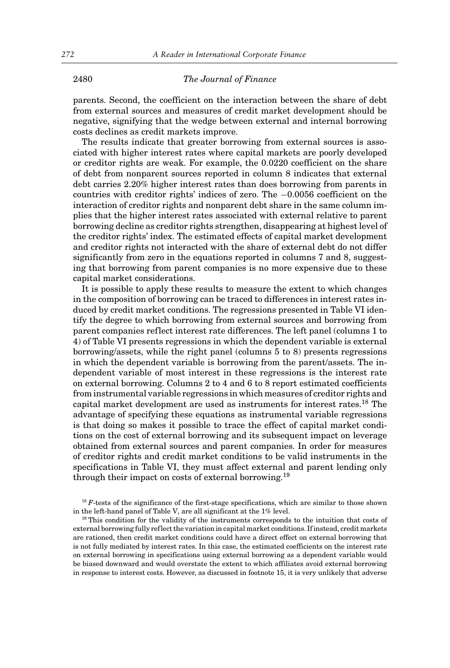parents. Second, the coefficient on the interaction between the share of debt from external sources and measures of credit market development should be negative, signifying that the wedge between external and internal borrowing costs declines as credit markets improve.

The results indicate that greater borrowing from external sources is associated with higher interest rates where capital markets are poorly developed or creditor rights are weak. For example, the 0.0220 coefficient on the share of debt from nonparent sources reported in column 8 indicates that external debt carries 2.20% higher interest rates than does borrowing from parents in countries with creditor rights' indices of zero. The −0.0056 coefficient on the interaction of creditor rights and nonparent debt share in the same column implies that the higher interest rates associated with external relative to parent borrowing decline as creditor rights strengthen, disappearing at highest level of the creditor rights' index. The estimated effects of capital market development and creditor rights not interacted with the share of external debt do not differ significantly from zero in the equations reported in columns 7 and 8, suggesting that borrowing from parent companies is no more expensive due to these capital market considerations.

It is possible to apply these results to measure the extent to which changes in the composition of borrowing can be traced to differences in interest rates induced by credit market conditions. The regressions presented in Table VI identify the degree to which borrowing from external sources and borrowing from parent companies ref lect interest rate differences. The left panel (columns 1 to 4) of Table VI presents regressions in which the dependent variable is external borrowing/assets, while the right panel (columns 5 to 8) presents regressions in which the dependent variable is borrowing from the parent/assets. The independent variable of most interest in these regressions is the interest rate on external borrowing. Columns 2 to 4 and 6 to 8 report estimated coefficients from instrumental variable regressions in which measures of creditor rights and capital market development are used as instruments for interest rates.<sup>18</sup> The advantage of specifying these equations as instrumental variable regressions is that doing so makes it possible to trace the effect of capital market conditions on the cost of external borrowing and its subsequent impact on leverage obtained from external sources and parent companies. In order for measures of creditor rights and credit market conditions to be valid instruments in the specifications in Table VI, they must affect external and parent lending only through their impact on costs of external borrowing.<sup>19</sup>

<sup>&</sup>lt;sup>18</sup> *F*-tests of the significance of the first-stage specifications, which are similar to those shown in the left-hand panel of Table V, are all significant at the 1% level.

<sup>&</sup>lt;sup>19</sup> This condition for the validity of the instruments corresponds to the intuition that costs of external borrowing fully ref lect the variation in capital market conditions. If instead, credit markets are rationed, then credit market conditions could have a direct effect on external borrowing that is not fully mediated by interest rates. In this case, the estimated coefficients on the interest rate on external borrowing in specifications using external borrowing as a dependent variable would be biased downward and would overstate the extent to which affiliates avoid external borrowing in response to interest costs. However, as discussed in footnote 15, it is very unlikely that adverse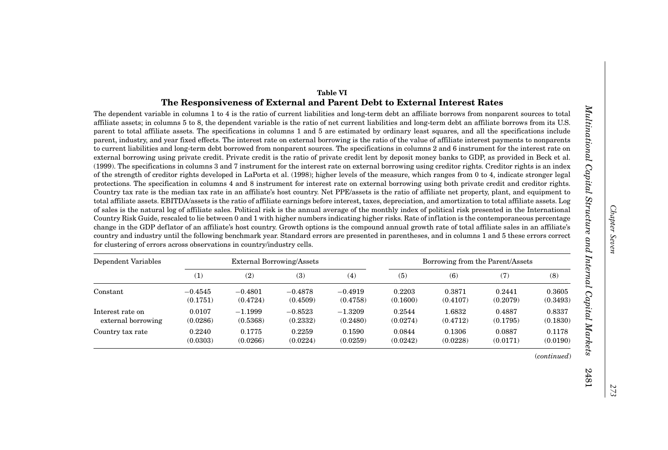### **Table VI**

### **The Responsiveness of External and Parent Debt to External Interest Rates**

The dependent variable in columns 1 to 4 is the ratio of current liabilities and long-term debt an affiliate borrows from nonparent sources to total affiliate assets; in columns 5 to 8, the dependent variable is the ratio of net current liabilities and long-term debt an affiliate borrows from its U.S. parent to total affiliate assets. The specifications in columns 1 and 5 are estimated by ordinary least squares, and all the specifications include parent, industry, and year fixed effects. The interest rate on external borrowing is the ratio of the value of affiliate interest payments to nonparents to current liabilities and long-term debt borrowed from nonparent sources. The specifications in columns 2 and 6 instrument for the interest rate on external borrowing using private credit. Private credit is the ratio of private credit lent by deposit money banks to GDP, as provided in Beck et al. (1999). The specifications in columns 3 and 7 instrument for the interest rate on external borrowing using creditor rights. Creditor rights is an index of the strength of creditor rights developed in LaPorta et al. (1998); higher levels of the measure, which ranges from 0 to 4, indicate stronger legal protections. The specification in columns 4 and 8 instrument for interest rate on external borrowing using both private credit and creditor rights. Country tax rate is the median tax rate in an affiliate's host country. Net PPE/assets is the ratio of affiliate net property, plant, and equipment to total affiliate assets. EBITDA/assets is the ratio of affiliate earnings before interest, taxes, depreciation, and amortization to total affiliate assets. Log of sales is the natural log of affiliate sales. Political risk is the annual average of the monthly index of political risk presented in the International Country Risk Guide, rescaled to lie between 0 and 1 with higher numbers indicating higher risks. Rate of inf lation is the contemporaneous percentage change in the GDP def lator of an affiliate's host country. Growth options is the compound annual growth rate of total affiliate sales in an affiliate's country and industry until the following benchmark year. Standard errors are presented in parentheses, and in columns 1 and 5 these errors correct for clustering of errors across observations in country/industry cells.

| Dependent Variables |           |                     | External Borrowing/Assets |           |          | Borrowing from the Parent/Assets |          |          |  |
|---------------------|-----------|---------------------|---------------------------|-----------|----------|----------------------------------|----------|----------|--|
|                     | $\bf(1)$  | $\scriptstyle{(2)}$ | (3)                       | (4)       | (5)      | (6)                              | (7)      | (8)      |  |
| Constant            | $-0.4545$ | $-0.4801$           | $-0.4878$                 | $-0.4919$ | 0.2203   | 0.3871                           | 0.2441   | 0.3605   |  |
|                     | (0.1751)  | (0.4724)            | (0.4509)                  | (0.4758)  | (0.1600) | (0.4107)                         | (0.2079) | (0.3493) |  |
| Interest rate on    | 0.0107    | $-1.1999$           | $-0.8523$                 | $-1.3209$ | 0.2544   | 1.6832                           | 0.4887   | 0.8337   |  |
| external borrowing  | (0.0286)  | (0.5368)            | (0.2332)                  | (0.2480)  | (0.0274) | (0.4712)                         | (0.1795) | (0.1830) |  |
| Country tax rate    | 0.2240    | 0.1775              | 0.2259                    | 0.1590    | 0.0844   | 0.1306                           | 0.0887   | 0.1178   |  |
|                     | (0.0303)  | (0.0266)            | (0.0224)                  | (0.0259)  | (0.0242) | (0.0228)                         | (0.0171) | (0.0190) |  |

(*continued*)

*Multinational Capital Structure and Internal Capital Markets*

Multinational Capital Structure and Internal Capital Markets

2481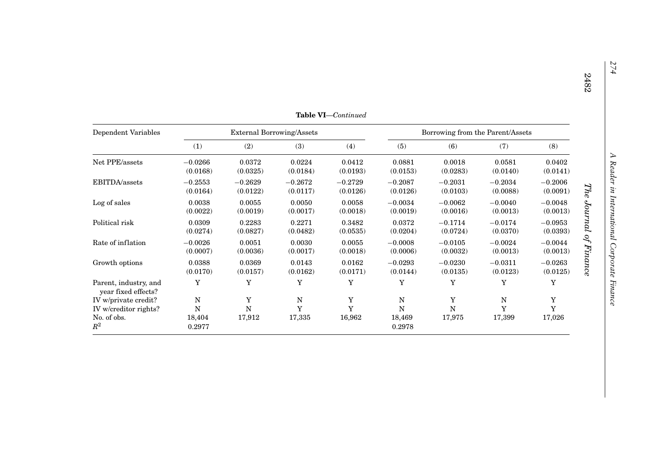| <b>Table VI</b> —Continued                   |                                  |                       |                       |                       |                                  |                       |                       |                       |
|----------------------------------------------|----------------------------------|-----------------------|-----------------------|-----------------------|----------------------------------|-----------------------|-----------------------|-----------------------|
| Dependent Variables                          | <b>External Borrowing/Assets</b> |                       |                       |                       | Borrowing from the Parent/Assets |                       |                       |                       |
|                                              | (1)                              | (2)                   | (3)                   | (4)                   | (5)                              | (6)                   | (7)                   | (8)                   |
| Net PPE/assets                               | $-0.0266$<br>(0.0168)            | 0.0372<br>(0.0325)    | 0.0224<br>(0.0184)    | 0.0412<br>(0.0193)    | 0.0881<br>(0.0153)               | 0.0018<br>(0.0283)    | 0.0581<br>(0.0140)    | 0.0402<br>(0.0141)    |
| EBITDA/assets                                | $-0.2553$<br>(0.0164)            | $-0.2629$<br>(0.0122) | $-0.2672$<br>(0.0117) | $-0.2729$<br>(0.0126) | $-0.2087$<br>(0.0126)            | $-0.2031$<br>(0.0103) | $-0.2034$<br>(0.0088) | $-0.2006$<br>(0.0091) |
| Log of sales                                 | 0.0038<br>(0.0022)               | 0.0055<br>(0.0019)    | 0.0050<br>(0.0017)    | 0.0058<br>(0.0018)    | $-0.0034$<br>(0.0019)            | $-0.0062$<br>(0.0016) | $-0.0040$<br>(0.0013) | $-0.0048$<br>(0.0013) |
| Political risk                               | 0.0309<br>(0.0274)               | 0.2283<br>(0.0827)    | 0.2271<br>(0.0482)    | 0.3482<br>(0.0535)    | 0.0372<br>(0.0204)               | $-0.1714$<br>(0.0724) | $-0.0174$<br>(0.0370) | $-0.0953$<br>(0.0393) |
| Rate of inflation                            | $-0.0026$<br>(0.0007)            | 0.0051<br>(0.0036)    | 0.0030<br>(0.0017)    | 0.0055<br>(0.0018)    | $-0.0008$<br>(0.0006)            | $-0.0105$<br>(0.0032) | $-0.0024$<br>(0.0013) | $-0.0044$<br>(0.0013) |
| Growth options                               | 0.0388<br>(0.0170)               | 0.0369<br>(0.0157)    | 0.0143<br>(0.0162)    | 0.0162<br>(0.0171)    | $-0.0293$<br>(0.0144)            | $-0.0230$<br>(0.0135) | $-0.0311$<br>(0.0123) | $-0.0263$<br>(0.0125) |
| Parent, industry, and<br>year fixed effects? | Y                                | Y                     | Y                     | Y                     | Y                                | Y                     | Y                     | Y                     |
| IV w/private credit?                         | N                                | Y                     | N                     | Y                     | N                                | Y                     | N                     | Y                     |
| IV w/creditor rights?                        | $\mathbf N$                      | N                     | Y                     | Y                     | N                                | N                     | Y                     | Y                     |
| No. of obs.<br>$R^2$                         | 18,404<br>0.2977                 | 17,912                | 17,335                | 16,962                | 18,469<br>0.2978                 | 17,975                | 17,399                | 17,026                |

274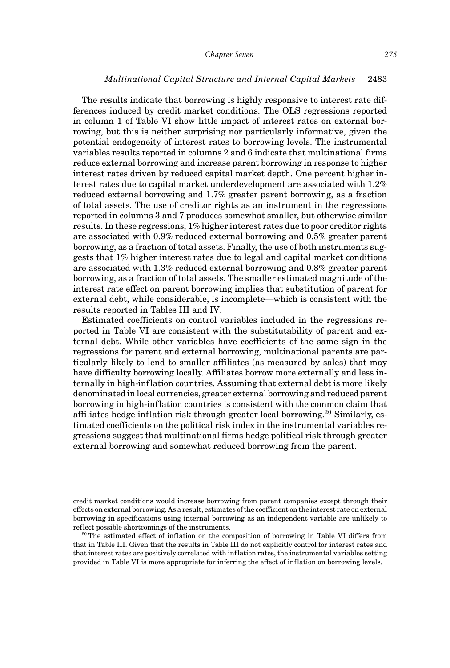The results indicate that borrowing is highly responsive to interest rate differences induced by credit market conditions. The OLS regressions reported in column 1 of Table VI show little impact of interest rates on external borrowing, but this is neither surprising nor particularly informative, given the potential endogeneity of interest rates to borrowing levels. The instrumental variables results reported in columns 2 and 6 indicate that multinational firms reduce external borrowing and increase parent borrowing in response to higher interest rates driven by reduced capital market depth. One percent higher interest rates due to capital market underdevelopment are associated with 1.2% reduced external borrowing and 1.7% greater parent borrowing, as a fraction of total assets. The use of creditor rights as an instrument in the regressions reported in columns 3 and 7 produces somewhat smaller, but otherwise similar results. In these regressions, 1% higher interest rates due to poor creditor rights are associated with 0.9% reduced external borrowing and 0.5% greater parent borrowing, as a fraction of total assets. Finally, the use of both instruments suggests that 1% higher interest rates due to legal and capital market conditions are associated with 1.3% reduced external borrowing and 0.8% greater parent borrowing, as a fraction of total assets. The smaller estimated magnitude of the interest rate effect on parent borrowing implies that substitution of parent for external debt, while considerable, is incomplete—which is consistent with the results reported in Tables III and IV.

Estimated coefficients on control variables included in the regressions reported in Table VI are consistent with the substitutability of parent and external debt. While other variables have coefficients of the same sign in the regressions for parent and external borrowing, multinational parents are particularly likely to lend to smaller affiliates (as measured by sales) that may have difficulty borrowing locally. Affiliates borrow more externally and less internally in high-inflation countries. Assuming that external debt is more likely denominated in local currencies, greater external borrowing and reduced parent borrowing in high-inf lation countries is consistent with the common claim that affiliates hedge inflation risk through greater local borrowing.<sup>20</sup> Similarly, estimated coefficients on the political risk index in the instrumental variables regressions suggest that multinational firms hedge political risk through greater external borrowing and somewhat reduced borrowing from the parent.

credit market conditions would increase borrowing from parent companies except through their effects on external borrowing. As a result, estimates of the coefficient on the interest rate on external borrowing in specifications using internal borrowing as an independent variable are unlikely to ref lect possible shortcomings of the instruments.

 $20$  The estimated effect of inflation on the composition of borrowing in Table VI differs from that in Table III. Given that the results in Table III do not explicitly control for interest rates and that interest rates are positively correlated with inflation rates, the instrumental variables setting provided in Table VI is more appropriate for inferring the effect of inf lation on borrowing levels.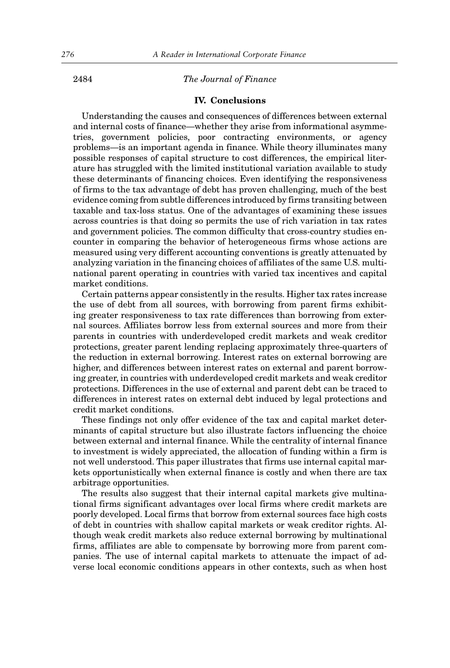### **IV. Conclusions**

Understanding the causes and consequences of differences between external and internal costs of finance—whether they arise from informational asymmetries, government policies, poor contracting environments, or agency problems—is an important agenda in finance. While theory illuminates many possible responses of capital structure to cost differences, the empirical literature has struggled with the limited institutional variation available to study these determinants of financing choices. Even identifying the responsiveness of firms to the tax advantage of debt has proven challenging, much of the best evidence coming from subtle differences introduced by firms transiting between taxable and tax-loss status. One of the advantages of examining these issues across countries is that doing so permits the use of rich variation in tax rates and government policies. The common difficulty that cross-country studies encounter in comparing the behavior of heterogeneous firms whose actions are measured using very different accounting conventions is greatly attenuated by analyzing variation in the financing choices of affiliates of the same U.S. multinational parent operating in countries with varied tax incentives and capital market conditions.

Certain patterns appear consistently in the results. Higher tax rates increase the use of debt from all sources, with borrowing from parent firms exhibiting greater responsiveness to tax rate differences than borrowing from external sources. Affiliates borrow less from external sources and more from their parents in countries with underdeveloped credit markets and weak creditor protections, greater parent lending replacing approximately three-quarters of the reduction in external borrowing. Interest rates on external borrowing are higher, and differences between interest rates on external and parent borrowing greater, in countries with underdeveloped credit markets and weak creditor protections. Differences in the use of external and parent debt can be traced to differences in interest rates on external debt induced by legal protections and credit market conditions.

These findings not only offer evidence of the tax and capital market determinants of capital structure but also illustrate factors influencing the choice between external and internal finance. While the centrality of internal finance to investment is widely appreciated, the allocation of funding within a firm is not well understood. This paper illustrates that firms use internal capital markets opportunistically when external finance is costly and when there are tax arbitrage opportunities.

The results also suggest that their internal capital markets give multinational firms significant advantages over local firms where credit markets are poorly developed. Local firms that borrow from external sources face high costs of debt in countries with shallow capital markets or weak creditor rights. Although weak credit markets also reduce external borrowing by multinational firms, affiliates are able to compensate by borrowing more from parent companies. The use of internal capital markets to attenuate the impact of adverse local economic conditions appears in other contexts, such as when host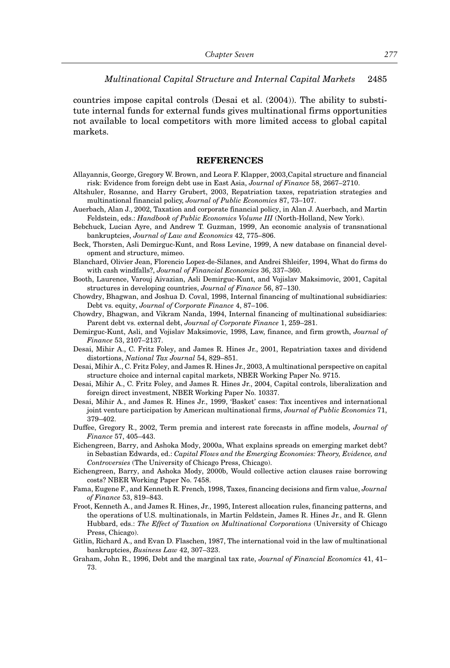countries impose capital controls (Desai et al. (2004)). The ability to substitute internal funds for external funds gives multinational firms opportunities not available to local competitors with more limited access to global capital markets.

### **REFERENCES**

- Allayannis, George, Gregory W. Brown, and Leora F. Klapper, 2003,Capital structure and financial risk: Evidence from foreign debt use in East Asia, *Journal of Finance* 58, 2667–2710.
- Altshuler, Rosanne, and Harry Grubert, 2003, Repatriation taxes, repatriation strategies and multinational financial policy, *Journal of Public Economics* 87, 73–107.
- Auerbach, Alan J., 2002, Taxation and corporate financial policy, in Alan J. Auerbach, and Martin Feldstein, eds.: *Handbook of Public Economics Volume III* (North-Holland, New York).
- Bebchuck, Lucian Ayre, and Andrew T. Guzman, 1999, An economic analysis of transnational bankruptcies, *Journal of Law and Economics* 42, 775–806.
- Beck, Thorsten, Asli Demirguc-Kunt, and Ross Levine, 1999, A new database on financial development and structure, mimeo.
- Blanchard, Olivier Jean, Florencio Lopez-de-Silanes, and Andrei Shleifer, 1994, What do firms do with cash windfalls?, *Journal of Financial Economics* 36, 337–360.
- Booth, Laurence, Varouj Aivazian, Asli Demirguc-Kunt, and Vojislav Maksimovic, 2001, Capital structures in developing countries, *Journal of Finance* 56, 87–130.
- Chowdry, Bhagwan, and Joshua D. Coval, 1998, Internal financing of multinational subsidiaries: Debt vs. equity, *Journal of Corporate Finance* 4, 87–106.
- Chowdry, Bhagwan, and Vikram Nanda, 1994, Internal financing of multinational subsidiaries: Parent debt vs. external debt, *Journal of Corporate Finance* 1, 259–281.
- Demirguc-Kunt, Asli, and Vojislav Maksimovic, 1998, Law, finance, and firm growth, *Journal of Finance* 53, 2107–2137.
- Desai, Mihir A., C. Fritz Foley, and James R. Hines Jr., 2001, Repatriation taxes and dividend distortions, *National Tax Journal* 54, 829–851.
- Desai, Mihir A., C. Fritz Foley, and James R. Hines Jr., 2003, A multinational perspective on capital structure choice and internal capital markets, NBER Working Paper No. 9715.
- Desai, Mihir A., C. Fritz Foley, and James R. Hines Jr., 2004, Capital controls, liberalization and foreign direct investment, NBER Working Paper No. 10337.
- Desai, Mihir A., and James R. Hines Jr., 1999, 'Basket' cases: Tax incentives and international joint venture participation by American multinational firms, *Journal of Public Economics* 71, 379–402.
- Duffee, Gregory R., 2002, Term premia and interest rate forecasts in affine models, *Journal of Finance* 57, 405–443.
- Eichengreen, Barry, and Ashoka Mody, 2000a, What explains spreads on emerging market debt? in Sebastian Edwards, ed.: *Capital Flows and the Emerging Economies: Theory, Evidence, and Controversies* (The University of Chicago Press, Chicago).
- Eichengreen, Barry, and Ashoka Mody, 2000b, Would collective action clauses raise borrowing costs? NBER Working Paper No. 7458.
- Fama, Eugene F., and Kenneth R. French, 1998, Taxes, financing decisions and firm value, *Journal of Finance* 53, 819–843.
- Froot, Kenneth A., and James R. Hines, Jr., 1995, Interest allocation rules, financing patterns, and the operations of U.S. multinationals, in Martin Feldstein, James R. Hines Jr., and R. Glenn Hubbard, eds.: *The Effect of Taxation on Multinational Corporations* (University of Chicago Press, Chicago).
- Gitlin, Richard A., and Evan D. Flaschen, 1987, The international void in the law of multinational bankruptcies, *Business Law* 42, 307–323.
- Graham, John R., 1996, Debt and the marginal tax rate, *Journal of Financial Economics* 41, 41– 73.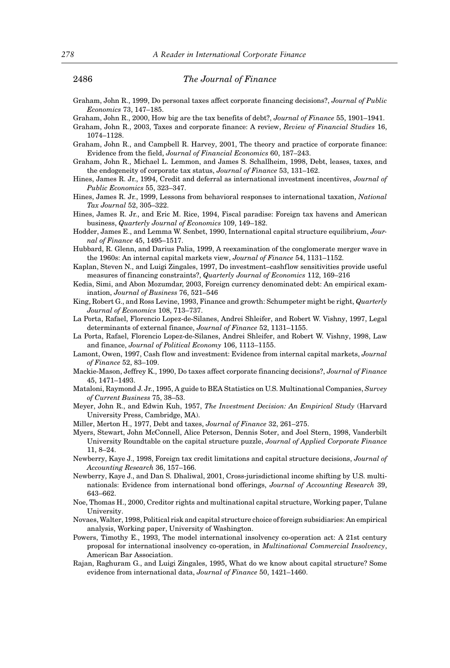- Graham, John R., 1999, Do personal taxes affect corporate financing decisions?, *Journal of Public Economics* 73, 147–185.
- Graham, John R., 2000, How big are the tax benefits of debt?, *Journal of Finance* 55, 1901–1941.
- Graham, John R., 2003, Taxes and corporate finance: A review, *Review of Financial Studies* 16, 1074–1128.
- Graham, John R., and Campbell R. Harvey, 2001, The theory and practice of corporate finance: Evidence from the field, *Journal of Financial Economics* 60, 187–243.
- Graham, John R., Michael L. Lemmon, and James S. Schallheim, 1998, Debt, leases, taxes, and the endogeneity of corporate tax status, *Journal of Finance* 53, 131–162.
- Hines, James R. Jr., 1994, Credit and deferral as international investment incentives, *Journal of Public Economics* 55, 323–347.
- Hines, James R. Jr., 1999, Lessons from behavioral responses to international taxation, *National Tax Journal* 52, 305–322.
- Hines, James R. Jr., and Eric M. Rice, 1994, Fiscal paradise: Foreign tax havens and American business, *Quarterly Journal of Economics* 109, 149–182.
- Hodder, James E., and Lemma W. Senbet, 1990, International capital structure equilibrium, *Journal of Finance* 45, 1495–1517.
- Hubbard, R. Glenn, and Darius Palia, 1999, A reexamination of the conglomerate merger wave in the 1960s: An internal capital markets view, *Journal of Finance* 54, 1131–1152.
- Kaplan, Steven N., and Luigi Zingales, 1997, Do investment–cashflow sensitivities provide useful measures of financing constraints?, *Quarterly Journal of Economics* 112, 169–216
- Kedia, Simi, and Abon Mozumdar, 2003, Foreign currency denominated debt: An empirical examination, *Journal of Business* 76, 521–546
- King, Robert G., and Ross Levine, 1993, Finance and growth: Schumpeter might be right, *Quarterly Journal of Economics* 108, 713–737.
- La Porta, Rafael, Florencio Lopez-de-Silanes, Andrei Shleifer, and Robert W. Vishny, 1997, Legal determinants of external finance, *Journal of Finance* 52, 1131–1155.
- La Porta, Rafael, Florencio Lopez-de-Silanes, Andrei Shleifer, and Robert W. Vishny, 1998, Law and finance, *Journal of Political Economy* 106, 1113–1155.
- Lamont, Owen, 1997, Cash flow and investment: Evidence from internal capital markets, *Journal of Finance* 52, 83–109.
- Mackie-Mason, Jeffrey K., 1990, Do taxes affect corporate financing decisions?, *Journal of Finance* 45, 1471–1493.
- Mataloni, Raymond J. Jr., 1995, A guide to BEA Statistics on U.S. Multinational Companies, *Survey of Current Business* 75, 38–53.
- Meyer, John R., and Edwin Kuh, 1957, *The Investment Decision: An Empirical Study* (Harvard University Press, Cambridge, MA).
- Miller, Merton H., 1977, Debt and taxes, *Journal of Finance* 32, 261–275.
- Myers, Stewart, John McConnell, Alice Peterson, Dennis Soter, and Joel Stern, 1998, Vanderbilt University Roundtable on the capital structure puzzle, *Journal of Applied Corporate Finance* 11, 8–24.
- Newberry, Kaye J., 1998, Foreign tax credit limitations and capital structure decisions, *Journal of Accounting Research* 36, 157–166.
- Newberry, Kaye J., and Dan S. Dhaliwal, 2001, Cross-jurisdictional income shifting by U.S. multinationals: Evidence from international bond offerings, *Journal of Accounting Research* 39, 643–662.
- Noe, Thomas H., 2000, Creditor rights and multinational capital structure, Working paper, Tulane University.
- Novaes, Walter, 1998, Political risk and capital structure choice of foreign subsidiaries: An empirical analysis, Working paper, University of Washington.
- Powers, Timothy E., 1993, The model international insolvency co-operation act: A 21st century proposal for international insolvency co-operation, in *Multinational Commercial Insolvency*, American Bar Association.
- Rajan, Raghuram G., and Luigi Zingales, 1995, What do we know about capital structure? Some evidence from international data, *Journal of Finance* 50, 1421–1460.